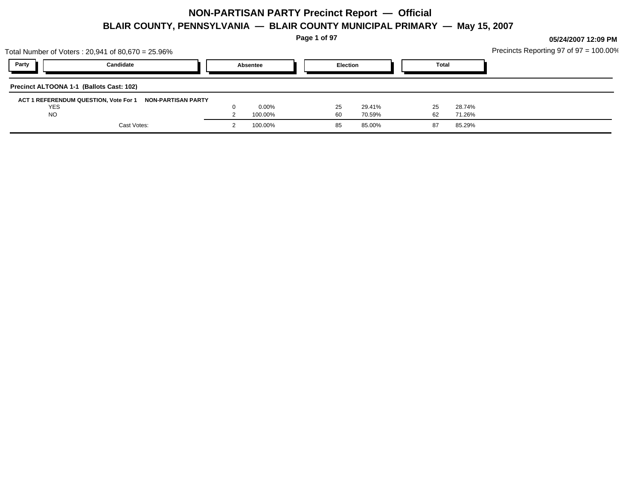**Page 1 of 97**

|                                          | Total Number of Voters: 20,941 of 80,670 = 25.96% |                    |          |          |    |                 |        |       |        | Precincts Reporting 97 of 97 = 100.00% |
|------------------------------------------|---------------------------------------------------|--------------------|----------|----------|----|-----------------|--------|-------|--------|----------------------------------------|
| Party                                    | Candidate                                         |                    | Absentee |          |    | <b>Election</b> |        | Total |        |                                        |
| Precinct ALTOONA 1-1 (Ballots Cast: 102) |                                                   |                    |          |          |    |                 |        |       |        |                                        |
|                                          | ACT 1 REFERENDUM QUESTION, Vote For 1             | NON-PARTISAN PARTY |          |          |    |                 |        |       |        |                                        |
| <b>YES</b>                               |                                                   |                    |          | $0.00\%$ |    | 25              | 29.41% | 25    | 28.74% |                                        |
| <b>NO</b>                                |                                                   |                    |          | 100.00%  | 60 |                 | 70.59% | 62    | 71.26% |                                        |
|                                          | Cast Votes:                                       |                    |          | 100.00%  |    | 85              | 85.00% | 87    | 85.29% |                                        |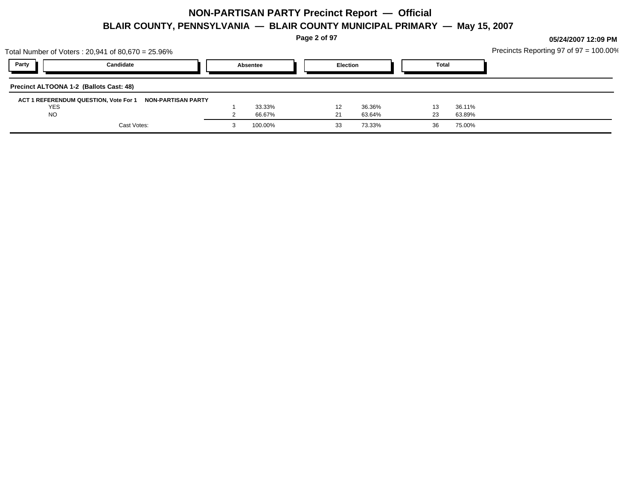**Page 2 of 97**

| Party<br><b>Election</b><br>Candidate<br><b>Total</b><br>Absentee<br>Precinct ALTOONA 1-2 (Ballots Cast: 48)<br>ACT 1 REFERENDUM QUESTION, Vote For 1<br>NON-PARTISAN PARTY<br><b>YES</b><br>33.33%<br>36.11%<br>36.36%<br><b>NO</b><br>66.67%<br>63.89%<br>63.64%<br>23<br>-21<br>Cast Votes:<br>100.00%<br>73.33%<br>75.00%<br>36<br>33 | Total Number of Voters: 20,941 of 80,670 = 25.96% |  |  |  | Precincts Reporting 97 of $97 = 100.00\%$ |
|-------------------------------------------------------------------------------------------------------------------------------------------------------------------------------------------------------------------------------------------------------------------------------------------------------------------------------------------|---------------------------------------------------|--|--|--|-------------------------------------------|
|                                                                                                                                                                                                                                                                                                                                           |                                                   |  |  |  |                                           |
|                                                                                                                                                                                                                                                                                                                                           |                                                   |  |  |  |                                           |
|                                                                                                                                                                                                                                                                                                                                           |                                                   |  |  |  |                                           |
|                                                                                                                                                                                                                                                                                                                                           |                                                   |  |  |  |                                           |
|                                                                                                                                                                                                                                                                                                                                           |                                                   |  |  |  |                                           |
|                                                                                                                                                                                                                                                                                                                                           |                                                   |  |  |  |                                           |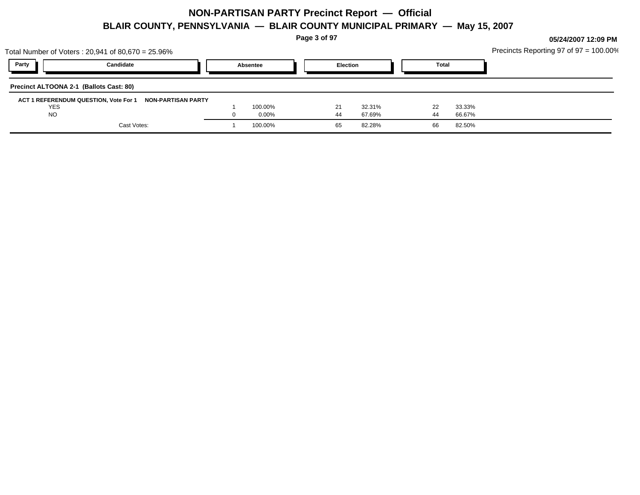**Page 3 of 97**

**05/24/2007 12:09 PM**

Precincts Reporting 97 of 97 = 100.00%

| Total Number of Voters: 20,941 of 80,670 = 25.96%           |          |                                 |                  |              |                  | Precincts Reporting 97 of $97 = 100.00\%$ |
|-------------------------------------------------------------|----------|---------------------------------|------------------|--------------|------------------|-------------------------------------------|
| Party<br>Candidate                                          | Absentee |                                 | <b>Election</b>  | <b>Total</b> |                  |                                           |
| Precinct ALTOONA 2-1 (Ballots Cast: 80)                     |          |                                 |                  |              |                  |                                           |
| ACT 1 REFERENDUM QUESTION, Vote For 1<br>NON-PARTISAN PARTY |          |                                 |                  |              |                  |                                           |
| <b>YES</b><br><b>NO</b>                                     |          | 100.00%<br>21<br>$0.00\%$<br>44 | 32.31%<br>67.69% | 22<br>44     | 33.33%<br>66.67% |                                           |
| Cast Votes:                                                 |          | 65<br>100.00%                   | 82.28%           | 66           | 82.50%           |                                           |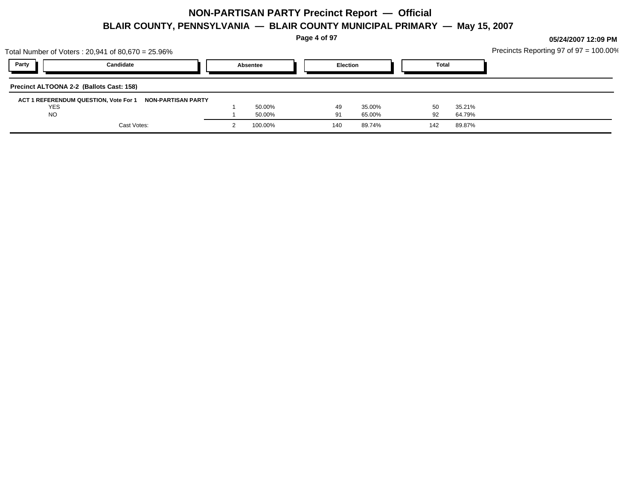**Page 4 of 97**

**05/24/2007 12:09 PM**

 $\frac{1}{2}$ Panorting 97 of 97 = 100.00%

| Total Number of Voters: 20,941 of 80,670 = 25.96%           |          |          |        |       |        | Precincts Reporting 97 of $97 = 100.00\%$ |
|-------------------------------------------------------------|----------|----------|--------|-------|--------|-------------------------------------------|
| Party<br>Candidate                                          | Absentee | Election |        | Total |        |                                           |
| Precinct ALTOONA 2-2 (Ballots Cast: 158)                    |          |          |        |       |        |                                           |
| ACT 1 REFERENDUM QUESTION, Vote For 1<br>NON-PARTISAN PARTY |          |          |        |       |        |                                           |
| YES                                                         | 50.00%   | 49       | 35.00% | 50    | 35.21% |                                           |
| <b>NO</b>                                                   | 50.00%   | 91       | 65.00% | 92    | 64.79% |                                           |
| Cast Votes:                                                 | 100.00%  | 140      | 89.74% | 142   | 89.87% |                                           |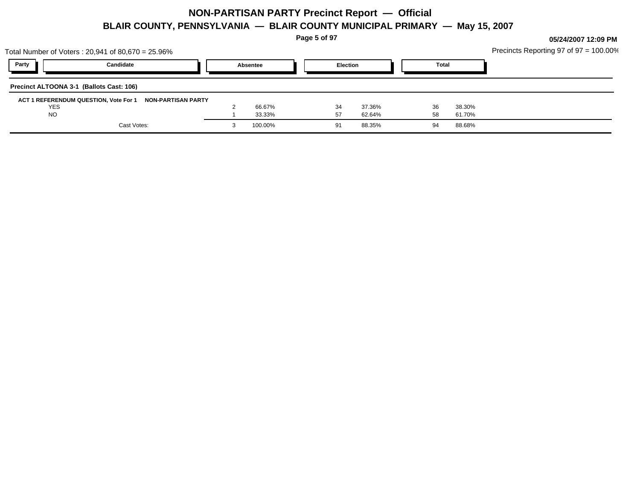**Page 5 of 97**

|                                          | Total Number of Voters: 20,941 of 80,670 = 25.96%        |          |                 |        |              |        | Precincts Reporting 97 of $97 = 100.00\%$ |
|------------------------------------------|----------------------------------------------------------|----------|-----------------|--------|--------------|--------|-------------------------------------------|
| Party                                    | Candidate                                                | Absentee | <b>Election</b> |        | <b>Total</b> |        |                                           |
| Precinct ALTOONA 3-1 (Ballots Cast: 106) |                                                          |          |                 |        |              |        |                                           |
|                                          | ACT 1 REFERENDUM QUESTION, Vote For 1 NON-PARTISAN PARTY |          |                 |        |              |        |                                           |
| <b>YES</b>                               |                                                          | 66.67%   | 34              | 37.36% | 36           | 38.30% |                                           |
| <b>NO</b>                                |                                                          | 33.33%   | 57              | 62.64% | 58           | 61.70% |                                           |
|                                          | Cast Votes:                                              | 100.00%  | 91              | 88.35% | 94           | 88.68% |                                           |
|                                          |                                                          |          |                 |        |              |        |                                           |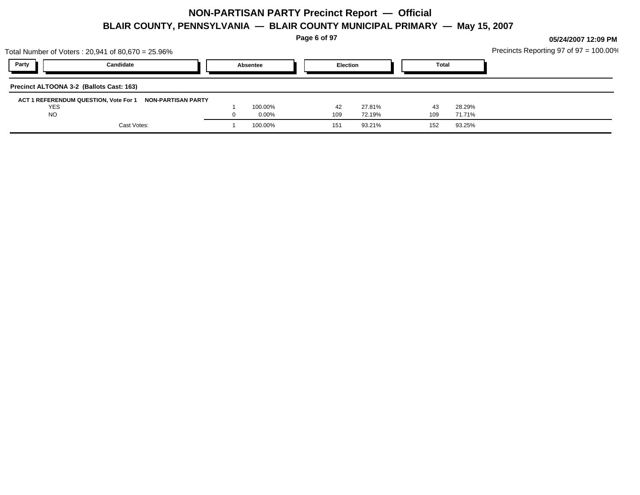**Page 6 of 97**

|                                          | Total Number of Voters: 20,941 of 80,670 = 25.96% |          |          |        |       |        | Precincts Reporting 97 of 97 = 100.00% |
|------------------------------------------|---------------------------------------------------|----------|----------|--------|-------|--------|----------------------------------------|
| Party                                    | Candidate                                         | Absentee | Election |        | Total |        |                                        |
| Precinct ALTOONA 3-2 (Ballots Cast: 163) |                                                   |          |          |        |       |        |                                        |
| ACT 1 REFERENDUM QUESTION, Vote For 1    | <b>NON-PARTISAN PARTY</b>                         |          |          |        |       |        |                                        |
| <b>YES</b>                               |                                                   | 100.00%  | 42       | 27.81% | 43    | 28.29% |                                        |
| <b>NO</b>                                |                                                   | $0.00\%$ | 109      | 72.19% | 109   | 71.71% |                                        |
|                                          | Cast Votes:                                       | 100.00%  | 151      | 93.21% | 152   | 93.25% |                                        |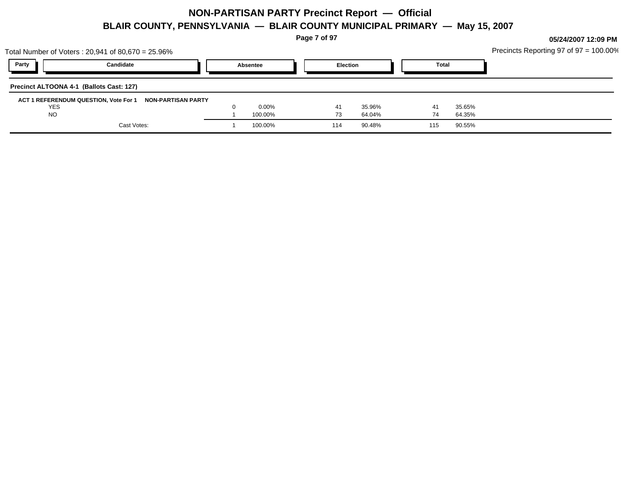**Page 7 of 97**

**05/24/2007 12:09 PM**

Precincts Reporting 97 of 97 = 100.00%

| Total Number of Voters: 20,941 of 80,670 = 25.96%                         |                    |           |                  |              |                  | Precincts Reporting 97 of $97 = 100.00\%$ |
|---------------------------------------------------------------------------|--------------------|-----------|------------------|--------------|------------------|-------------------------------------------|
| Party<br>Candidate                                                        | Absentee           | Election  |                  | <b>Total</b> |                  |                                           |
| Precinct ALTOONA 4-1 (Ballots Cast: 127)                                  |                    |           |                  |              |                  |                                           |
| ACT 1 REFERENDUM QUESTION, Vote For 1<br>NON-PARTISAN PARTY<br><b>YES</b> | $0.00\%$           | 41        | 35.96%           | 41           | 35.65%           |                                           |
| <b>NO</b><br>Cast Votes:                                                  | 100.00%<br>100.00% | 73<br>114 | 64.04%<br>90.48% | 74<br>115    | 64.35%<br>90.55% |                                           |
|                                                                           |                    |           |                  |              |                  |                                           |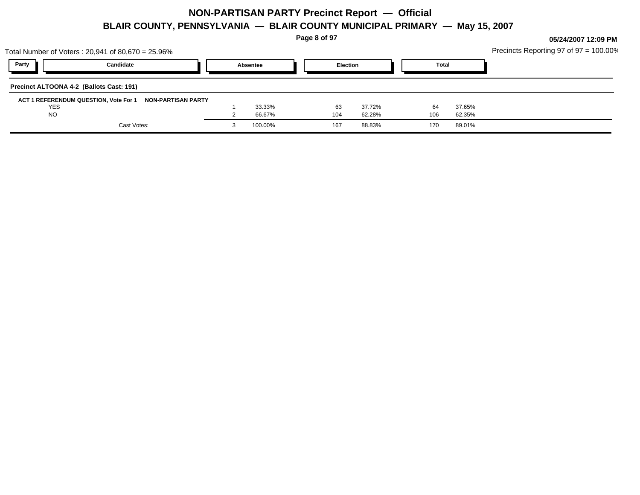**Page 8 of 97**

|                                          | Total Number of Voters : 20,941 of 80,670 = 25.96% |                    |          |                 |        |       |        | Precincts Reporting 97 of 97 = 100.00% |
|------------------------------------------|----------------------------------------------------|--------------------|----------|-----------------|--------|-------|--------|----------------------------------------|
| Party                                    | Candidate                                          |                    | Absentee | <b>Election</b> |        | Total |        |                                        |
| Precinct ALTOONA 4-2 (Ballots Cast: 191) |                                                    |                    |          |                 |        |       |        |                                        |
| ACT 1 REFERENDUM QUESTION, Vote For 1    |                                                    | NON-PARTISAN PARTY |          |                 |        |       |        |                                        |
| <b>YES</b>                               |                                                    |                    | 33.33%   | 63              | 37.72% | 64    | 37.65% |                                        |
| <b>NO</b>                                |                                                    |                    | 66.67%   | 104             | 62.28% | 106   | 62.35% |                                        |
|                                          | Cast Votes:                                        |                    | 100.00%  | 167             | 88.83% | 170   | 89.01% |                                        |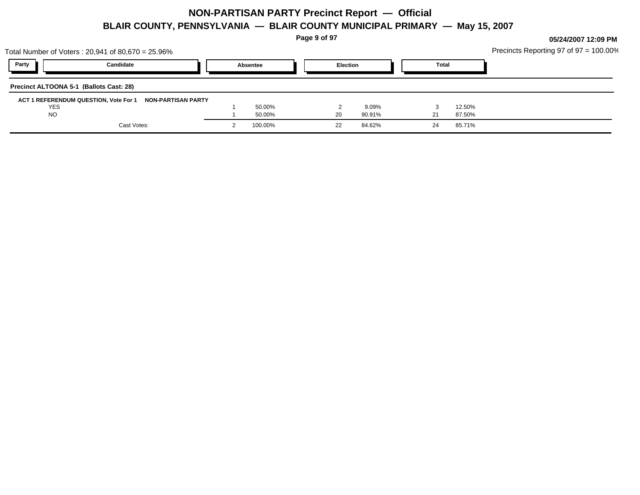**Page 9 of 97**

| Party<br>Candidate<br><b>Election</b><br><b>Total</b><br>Absentee<br>Precinct ALTOONA 5-1 (Ballots Cast: 28)<br>ACT 1 REFERENDUM QUESTION, Vote For 1 NON-PARTISAN PARTY<br><b>YES</b><br>50.00%<br>12.50%<br>9.09%<br><b>NO</b><br>50.00%<br>90.91%<br>87.50%<br>20<br>Cast Votes:<br>100.00%<br>84.62%<br>85.71%<br>22<br>24 | Total Number of Voters: 20,941 of 80,670 = 25.96% |  |  |  | Precincts Reporting 97 of $97 = 100.00\%$ |
|--------------------------------------------------------------------------------------------------------------------------------------------------------------------------------------------------------------------------------------------------------------------------------------------------------------------------------|---------------------------------------------------|--|--|--|-------------------------------------------|
|                                                                                                                                                                                                                                                                                                                                |                                                   |  |  |  |                                           |
|                                                                                                                                                                                                                                                                                                                                |                                                   |  |  |  |                                           |
|                                                                                                                                                                                                                                                                                                                                |                                                   |  |  |  |                                           |
|                                                                                                                                                                                                                                                                                                                                |                                                   |  |  |  |                                           |
|                                                                                                                                                                                                                                                                                                                                |                                                   |  |  |  |                                           |
|                                                                                                                                                                                                                                                                                                                                |                                                   |  |  |  |                                           |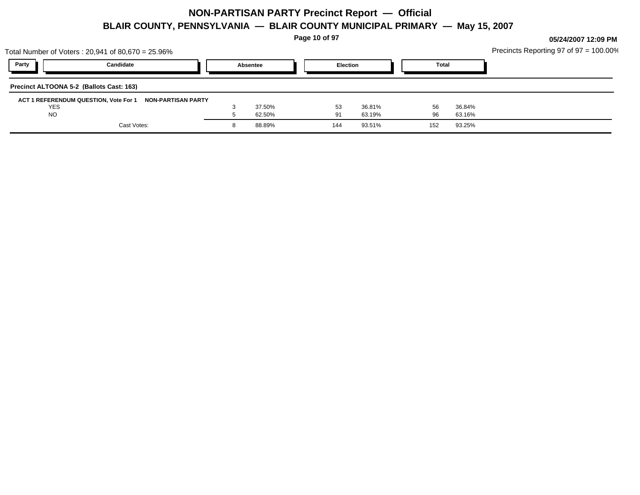**Page 10 of 97**

**05/24/2007 12:09 PM**

 $\epsilon$  Panorting 97 of 97 = 100.00%

| Total Number of Voters: 20,941 of 80,670 = 25.96% |                    |                  |          |                  |              |                  | Precincts Reporting 97 of $97 = 100.00\%$ |
|---------------------------------------------------|--------------------|------------------|----------|------------------|--------------|------------------|-------------------------------------------|
| Party<br>Candidate                                |                    | Absentee         | Election |                  | <b>Total</b> |                  |                                           |
| Precinct ALTOONA 5-2 (Ballots Cast: 163)          |                    |                  |          |                  |              |                  |                                           |
| ACT 1 REFERENDUM QUESTION, Vote For 1             | NON-PARTISAN PARTY |                  |          |                  |              |                  |                                           |
| <b>YES</b><br><b>NO</b>                           |                    | 37.50%<br>62.50% | 53<br>91 | 36.81%<br>63.19% | 56<br>96     | 36.84%<br>63.16% |                                           |
| Cast Votes:                                       |                    | 88.89%           | 144      | 93.51%           | 152          | 93.25%           |                                           |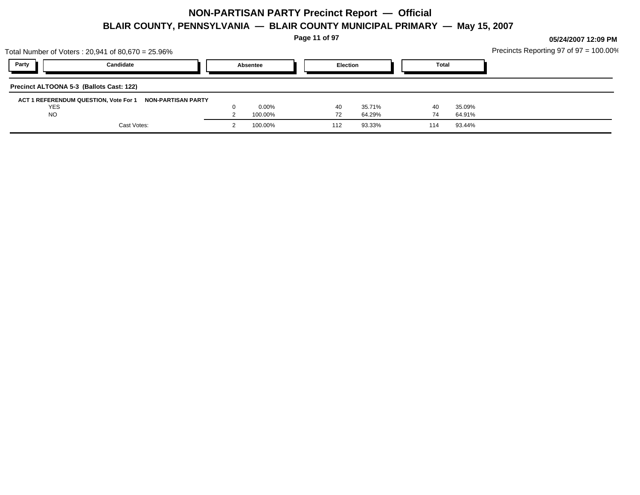**Page 11 of 97**

| Party<br><b>Election</b><br>Candidate<br><b>Total</b><br>Absentee<br>Precinct ALTOONA 5-3 (Ballots Cast: 122)<br>ACT 1 REFERENDUM QUESTION, Vote For 1 NON-PARTISAN PARTY<br>0.00%<br><b>YES</b><br>35.09%<br>35.71%<br>40<br>40<br><b>NO</b><br>100.00%<br>64.29%<br>64.91%<br>72<br>74<br>Cast Votes:<br>100.00%<br>93.33%<br>93.44%<br>112<br>114 | Total Number of Voters : 20,941 of 80,670 = 25.96% |  |  |  | Precincts Reporting 97 of $97 = 100.00\%$ |
|------------------------------------------------------------------------------------------------------------------------------------------------------------------------------------------------------------------------------------------------------------------------------------------------------------------------------------------------------|----------------------------------------------------|--|--|--|-------------------------------------------|
|                                                                                                                                                                                                                                                                                                                                                      |                                                    |  |  |  |                                           |
|                                                                                                                                                                                                                                                                                                                                                      |                                                    |  |  |  |                                           |
|                                                                                                                                                                                                                                                                                                                                                      |                                                    |  |  |  |                                           |
|                                                                                                                                                                                                                                                                                                                                                      |                                                    |  |  |  |                                           |
|                                                                                                                                                                                                                                                                                                                                                      |                                                    |  |  |  |                                           |
|                                                                                                                                                                                                                                                                                                                                                      |                                                    |  |  |  |                                           |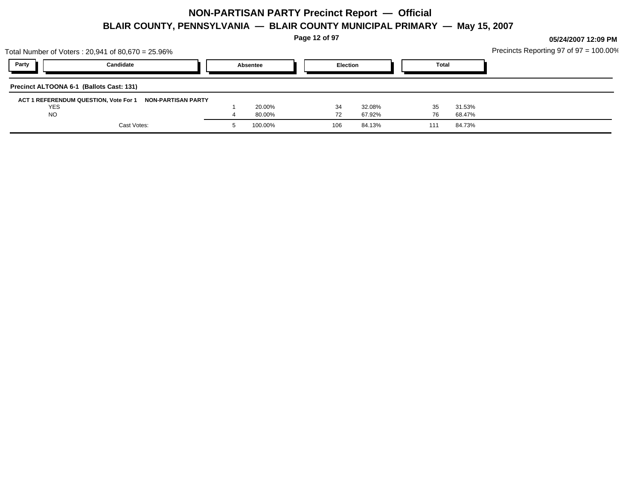**Page 12 of 97**

| Total Number of Voters: 20,941 of 80,670 = 25.96% |                    |          |     |                 |     |              | Precincts Reporting 97 of 97 = 100.00% |
|---------------------------------------------------|--------------------|----------|-----|-----------------|-----|--------------|----------------------------------------|
| Party                                             | Candidate          | Absentee |     | <b>Election</b> |     | <b>Total</b> |                                        |
| Precinct ALTOONA 6-1 (Ballots Cast: 131)          |                    |          |     |                 |     |              |                                        |
| ACT 1 REFERENDUM QUESTION, Vote For 1             | NON-PARTISAN PARTY |          |     |                 |     |              |                                        |
| <b>YES</b>                                        |                    | 20.00%   | 34  | 32.08%          | 35  | 31.53%       |                                        |
| <b>NO</b>                                         |                    | 80.00%   |     | 67.92%          | 76  | 68.47%       |                                        |
|                                                   | Cast Votes:        | 100.00%  | 106 | 84.13%          | 111 | 84.73%       |                                        |
|                                                   |                    |          |     |                 |     |              |                                        |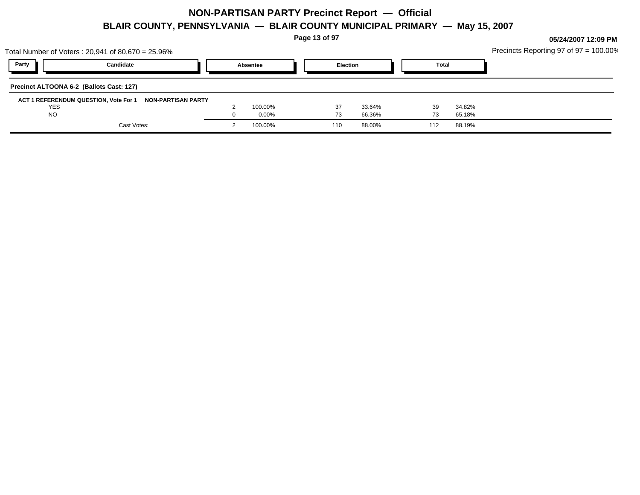**Page 13 of 97**

| Total Number of Voters: 20,941 of 80,670 = 25.96% |                                                          |          |                 |        |              |        | Precincts Reporting 97 of $97 = 100.00\%$ |
|---------------------------------------------------|----------------------------------------------------------|----------|-----------------|--------|--------------|--------|-------------------------------------------|
| Party                                             | Candidate                                                | Absentee | <b>Election</b> |        | <b>Total</b> |        |                                           |
| Precinct ALTOONA 6-2 (Ballots Cast: 127)          |                                                          |          |                 |        |              |        |                                           |
|                                                   | ACT 1 REFERENDUM QUESTION, Vote For 1 NON-PARTISAN PARTY |          |                 |        |              |        |                                           |
| <b>YES</b>                                        |                                                          | 100.00%  | -37             | 33.64% | 39           | 34.82% |                                           |
| <b>NO</b>                                         |                                                          | 0.00%    | 73              | 66.36% |              | 65.18% |                                           |
|                                                   | Cast Votes:                                              | 100.00%  | 110             | 88.00% | 112          | 88.19% |                                           |
|                                                   |                                                          |          |                 |        |              |        |                                           |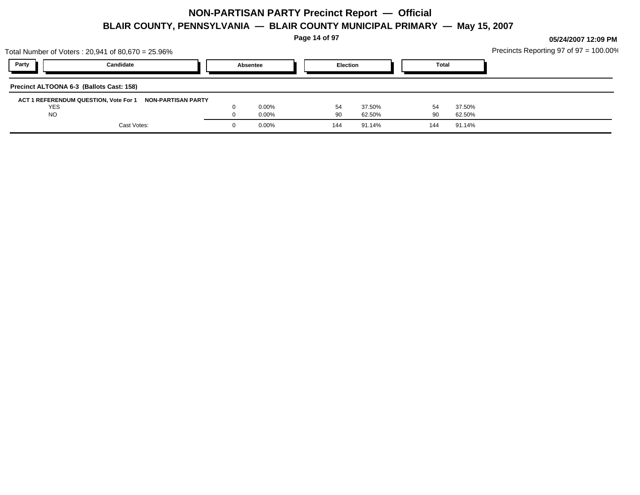**Page 14 of 97**

| Total Number of Voters: 20,941 of 80,670 = 25.96%        |          |                 |        |              |        | Precincts Reporting 97 of $97 = 100.00\%$ |
|----------------------------------------------------------|----------|-----------------|--------|--------------|--------|-------------------------------------------|
| Party<br>Candidate                                       | Absentee | <b>Election</b> |        | <b>Total</b> |        |                                           |
| Precinct ALTOONA 6-3 (Ballots Cast: 158)                 |          |                 |        |              |        |                                           |
| ACT 1 REFERENDUM QUESTION, Vote For 1 NON-PARTISAN PARTY |          |                 |        |              |        |                                           |
| <b>YES</b>                                               | 0.00%    | 54              | 37.50% |              | 37.50% |                                           |
| <b>NO</b>                                                | 0.00%    | -90             | 62.50% | 90           | 62.50% |                                           |
| Cast Votes:                                              | 0.00%    | 144             | 91.14% | 144          | 91.14% |                                           |
|                                                          |          |                 |        |              |        |                                           |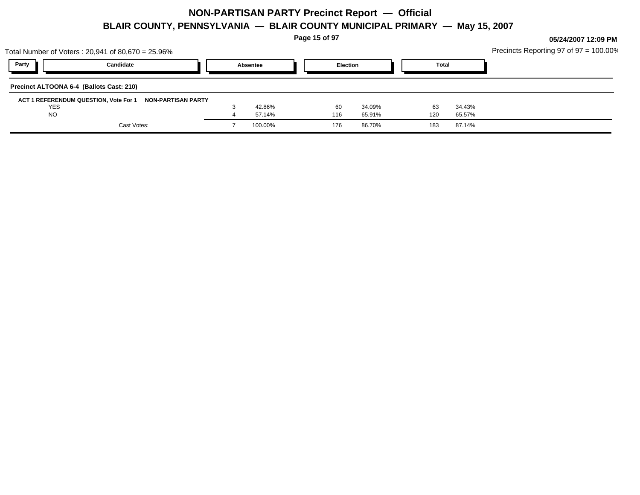**Page 15 of 97**

| Total Number of Voters : 20,941 of 80,670 = 25.96% |                                                          |          |     |                 |              |        | Precincts Reporting 97 of $97 = 100.00\%$ |
|----------------------------------------------------|----------------------------------------------------------|----------|-----|-----------------|--------------|--------|-------------------------------------------|
| Party                                              | Candidate                                                | Absentee |     | <b>Election</b> | <b>Total</b> |        |                                           |
| Precinct ALTOONA 6-4 (Ballots Cast: 210)           |                                                          |          |     |                 |              |        |                                           |
|                                                    | ACT 1 REFERENDUM QUESTION, Vote For 1 NON-PARTISAN PARTY |          |     |                 |              |        |                                           |
| <b>YES</b>                                         |                                                          | 42.86%   | 60  | 34.09%          | 63           | 34.43% |                                           |
| <b>NO</b>                                          |                                                          | 57.14%   | 116 | 65.91%          | 120          | 65.57% |                                           |
|                                                    | Cast Votes:                                              | 100.00%  | 176 | 86.70%          | 183          | 87.14% |                                           |
|                                                    |                                                          |          |     |                 |              |        |                                           |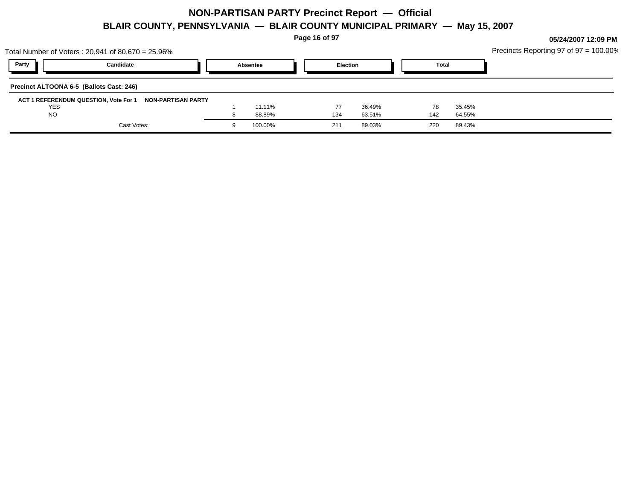**Page 16 of 97**

|            | Total Number of Voters: 20,941 of 80,670 = 25.96%           |          |     |                 |              |        | Precincts Reporting 97 of $97 = 100.00\%$ |
|------------|-------------------------------------------------------------|----------|-----|-----------------|--------------|--------|-------------------------------------------|
| Party      | Candidate                                                   | Absentee |     | <b>Election</b> | <b>Total</b> |        |                                           |
|            | Precinct ALTOONA 6-5 (Ballots Cast: 246)                    |          |     |                 |              |        |                                           |
|            | ACT 1 REFERENDUM QUESTION, Vote For 1<br>NON-PARTISAN PARTY |          |     |                 |              |        |                                           |
| <b>YES</b> |                                                             | 11.11%   | 77  | 36.49%          | 78           | 35.45% |                                           |
| <b>NO</b>  |                                                             | 88.89%   | 134 | 63.51%          | 142          | 64.55% |                                           |
|            | Cast Votes:                                                 | 100.00%  | 211 | 89.03%          | 220          | 89.43% |                                           |
|            |                                                             |          |     |                 |              |        |                                           |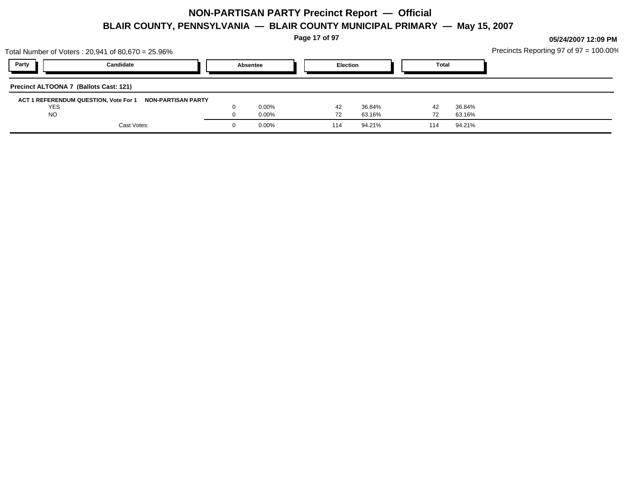**Page 17 of 97**

|                                        | Total Number of Voters: 20,941 of 80,670 = 25.96%        |          |     |                 |              |        | Precincts Reporting 97 of $97 = 100.00\%$ |
|----------------------------------------|----------------------------------------------------------|----------|-----|-----------------|--------------|--------|-------------------------------------------|
| Party                                  | Candidate                                                | Absentee |     | <b>Election</b> | <b>Total</b> |        |                                           |
| Precinct ALTOONA 7 (Ballots Cast: 121) |                                                          |          |     |                 |              |        |                                           |
|                                        | ACT 1 REFERENDUM QUESTION, Vote For 1 NON-PARTISAN PARTY |          |     |                 |              |        |                                           |
| <b>YES</b>                             |                                                          | 0.00%    | 42  | 36.84%          | 42           | 36.84% |                                           |
| <b>NO</b>                              |                                                          | 0.00%    | 72  | 63.16%          |              | 63.16% |                                           |
|                                        | Cast Votes:                                              | 0.00%    | 114 | 94.21%          | 114          | 94.21% |                                           |
|                                        |                                                          |          |     |                 |              |        |                                           |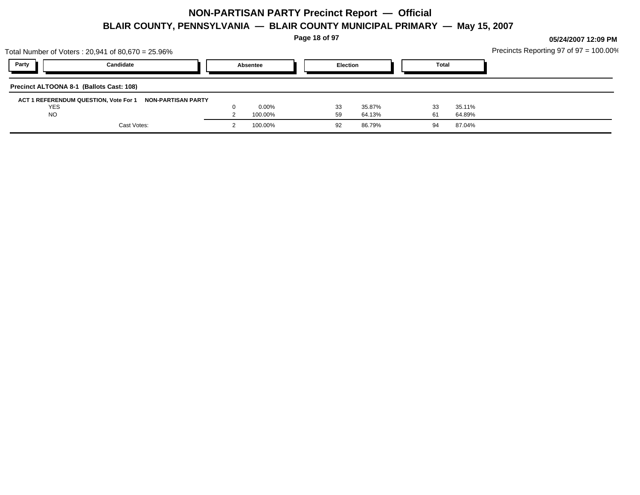**Page 18 of 97**

| Party<br>Candidate<br><b>Election</b><br><b>Total</b><br>Absentee<br>ACT 1 REFERENDUM QUESTION, Vote For 1 NON-PARTISAN PARTY<br><b>YES</b><br>$0.00\%$<br>35.11%<br>35.87%<br>33<br>33<br><b>NO</b><br>100.00%<br>64.89%<br>59<br>64.13%<br>61<br>Cast Votes:<br>100.00%<br>86.79%<br>87.04%<br>94<br>-92 | Total Number of Voters : 20,941 of 80,670 = 25.96% |  | Precincts Reporting 97 of 97 = 100.00% |
|------------------------------------------------------------------------------------------------------------------------------------------------------------------------------------------------------------------------------------------------------------------------------------------------------------|----------------------------------------------------|--|----------------------------------------|
|                                                                                                                                                                                                                                                                                                            |                                                    |  |                                        |
|                                                                                                                                                                                                                                                                                                            | Precinct ALTOONA 8-1 (Ballots Cast: 108)           |  |                                        |
|                                                                                                                                                                                                                                                                                                            |                                                    |  |                                        |
|                                                                                                                                                                                                                                                                                                            |                                                    |  |                                        |
|                                                                                                                                                                                                                                                                                                            |                                                    |  |                                        |
|                                                                                                                                                                                                                                                                                                            |                                                    |  |                                        |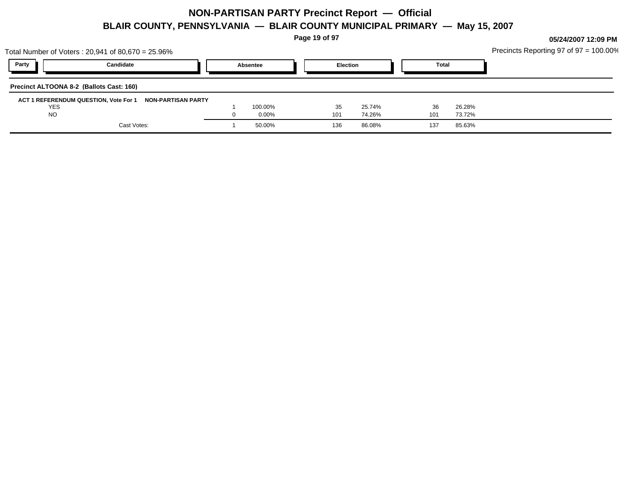**Page 19 of 97**

|            | Total Number of Voters: 20,941 of 80,670 = 25.96%        |          |     |                 |              |        | Precincts Reporting 97 of $97 = 100.00\%$ |
|------------|----------------------------------------------------------|----------|-----|-----------------|--------------|--------|-------------------------------------------|
| Party      | Candidate                                                | Absentee |     | <b>Election</b> | <b>Total</b> |        |                                           |
|            | Precinct ALTOONA 8-2 (Ballots Cast: 160)                 |          |     |                 |              |        |                                           |
|            | ACT 1 REFERENDUM QUESTION, Vote For 1 NON-PARTISAN PARTY |          |     |                 |              |        |                                           |
| <b>YES</b> |                                                          | 100.00%  | 35  | 25.74%          | 36           | 26.28% |                                           |
| <b>NO</b>  |                                                          | $0.00\%$ | 101 | 74.26%          | 101          | 73.72% |                                           |
|            | Cast Votes:                                              | 50.00%   | 136 | 86.08%          | 137          | 85.63% |                                           |
|            |                                                          |          |     |                 |              |        |                                           |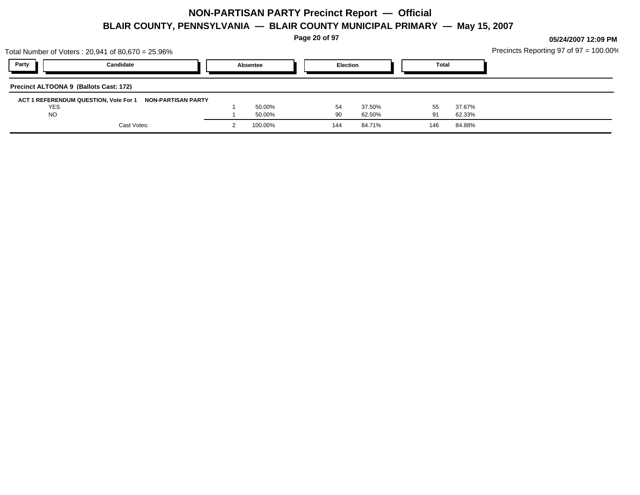**Page 20 of 97**

| Total Number of Voters: 20,941 of 80,670 = 25.96%        |          |         |                 |        |              |        | Precincts Reporting 97 of 97 = 100.00% |
|----------------------------------------------------------|----------|---------|-----------------|--------|--------------|--------|----------------------------------------|
| Party<br>Candidate                                       | Absentee |         | <b>Election</b> |        | <b>Total</b> |        |                                        |
| Precinct ALTOONA 9 (Ballots Cast: 172)                   |          |         |                 |        |              |        |                                        |
| ACT 1 REFERENDUM QUESTION, Vote For 1 NON-PARTISAN PARTY |          |         |                 |        |              |        |                                        |
| <b>YES</b>                                               |          | 50.00%  | 54              | 37.50% | 55           | 37.67% |                                        |
| <b>NO</b>                                                |          | 50.00%  | 90              | 62.50% |              | 62.33% |                                        |
| Cast Votes:                                              |          | 100.00% | 144             | 84.71% | 146          | 84.88% |                                        |
|                                                          |          |         |                 |        |              |        |                                        |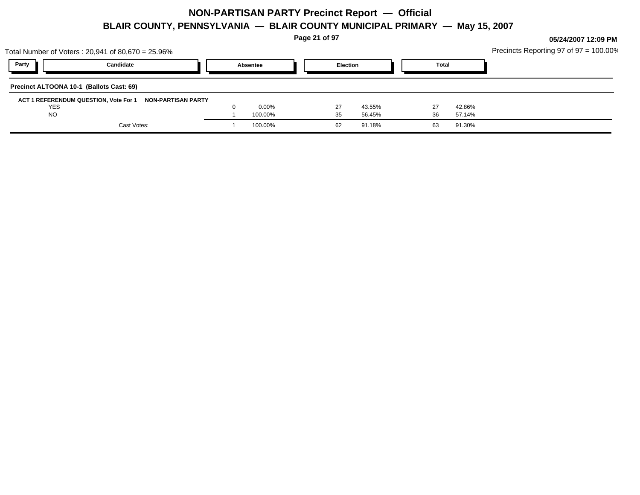**Page 21 of 97**

|            | Total Number of Voters: 20,941 of 80,670 = 25.96%        |          |    |                 |              |        | Precincts Reporting 97 of $97 = 100.00\%$ |
|------------|----------------------------------------------------------|----------|----|-----------------|--------------|--------|-------------------------------------------|
| Party      | Candidate                                                | Absentee |    | <b>Election</b> | <b>Total</b> |        |                                           |
|            | Precinct ALTOONA 10-1 (Ballots Cast: 69)                 |          |    |                 |              |        |                                           |
|            | ACT 1 REFERENDUM QUESTION, Vote For 1 NON-PARTISAN PARTY |          |    |                 |              |        |                                           |
| <b>YES</b> |                                                          | $0.00\%$ | 27 | 43.55%          |              | 42.86% |                                           |
| <b>NO</b>  |                                                          | 100.00%  | 35 | 56.45%          | 36           | 57.14% |                                           |
|            | Cast Votes:                                              | 100.00%  | 62 | 91.18%          | 63           | 91.30% |                                           |
|            |                                                          |          |    |                 |              |        |                                           |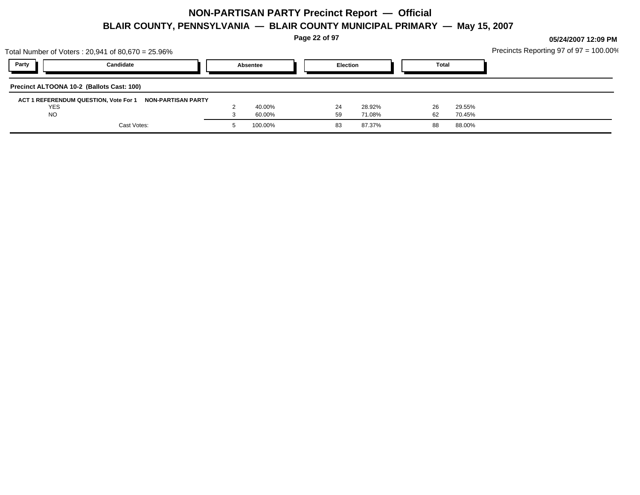**Page 22 of 97**

|            | Total Number of Voters: 20,941 of 80,670 = 25.96%        |          |                 |              |        | Precincts Reporting 97 of $97 = 100.00\%$ |
|------------|----------------------------------------------------------|----------|-----------------|--------------|--------|-------------------------------------------|
| Party      | Candidate                                                | Absentee | <b>Election</b> | <b>Total</b> |        |                                           |
|            | Precinct ALTOONA 10-2 (Ballots Cast: 100)                |          |                 |              |        |                                           |
|            | ACT 1 REFERENDUM QUESTION, Vote For 1 NON-PARTISAN PARTY |          |                 |              |        |                                           |
| <b>YES</b> |                                                          | 40.00%   | 28.92%<br>24    | 26           | 29.55% |                                           |
| <b>NO</b>  |                                                          | 60.00%   | 71.08%<br>59    | 62           | 70.45% |                                           |
|            | Cast Votes:                                              | 100.00%  | 87.37%<br>83    | 88           | 88.00% |                                           |
|            |                                                          |          |                 |              |        |                                           |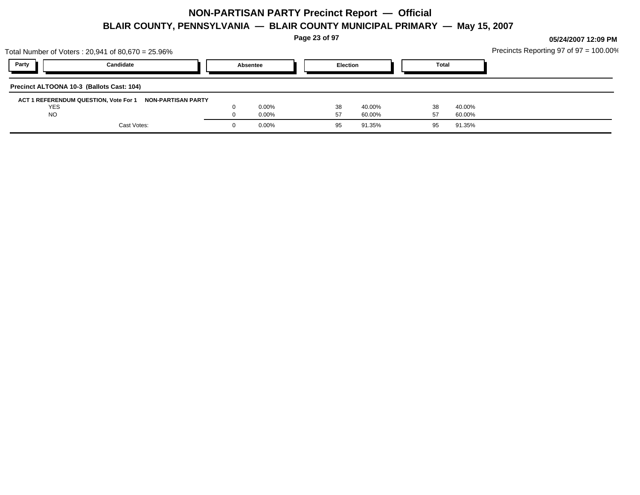**Page 23 of 97**

|            | Total Number of Voters: 20,941 of 80,670 = 25.96%        |          |                 |        |    |              | Precincts Reporting 97 of $97 = 100.00\%$ |
|------------|----------------------------------------------------------|----------|-----------------|--------|----|--------------|-------------------------------------------|
| Party      | Candidate                                                | Absentee | <b>Election</b> |        |    | <b>Total</b> |                                           |
|            | Precinct ALTOONA 10-3 (Ballots Cast: 104)                |          |                 |        |    |              |                                           |
|            | ACT 1 REFERENDUM QUESTION, Vote For 1 NON-PARTISAN PARTY |          |                 |        |    |              |                                           |
| <b>YES</b> |                                                          | $0.00\%$ | 38              | 40.00% | 38 | 40.00%       |                                           |
| <b>NO</b>  |                                                          | $0.00\%$ | 57              | 60.00% |    | 60.00%       |                                           |
|            | Cast Votes:                                              | $0.00\%$ | 95              | 91.35% | 95 | 91.35%       |                                           |
|            |                                                          |          |                 |        |    |              |                                           |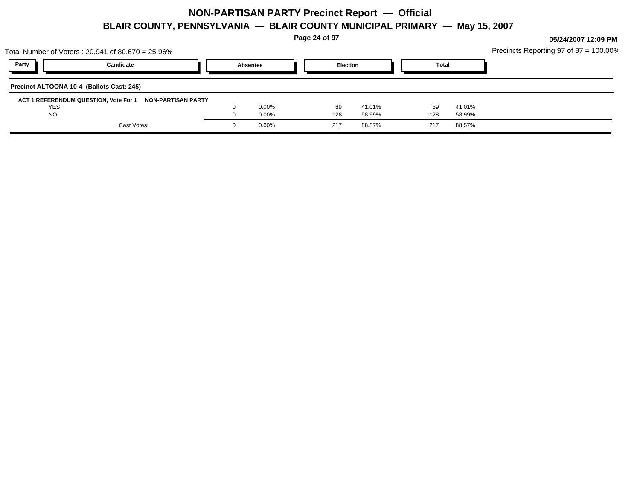**Page 24 of 97**

|                                           | Total Number of Voters: 20,941 of 80,670 = 25.96%        |          |                 |        |              |        | Precincts Reporting 97 of $97 = 100.00\%$ |
|-------------------------------------------|----------------------------------------------------------|----------|-----------------|--------|--------------|--------|-------------------------------------------|
| Party                                     | Candidate                                                | Absentee | <b>Election</b> |        | <b>Total</b> |        |                                           |
| Precinct ALTOONA 10-4 (Ballots Cast: 245) |                                                          |          |                 |        |              |        |                                           |
|                                           | ACT 1 REFERENDUM QUESTION, Vote For 1 NON-PARTISAN PARTY |          |                 |        |              |        |                                           |
| <b>YES</b>                                |                                                          | $0.00\%$ | 89              | 41.01% | 89           | 41.01% |                                           |
| <b>NO</b>                                 |                                                          | $0.00\%$ | 128             | 58.99% | 128          | 58.99% |                                           |
|                                           | Cast Votes:                                              | $0.00\%$ | 217             | 88.57% | 217          | 88.57% |                                           |
|                                           |                                                          |          |                 |        |              |        |                                           |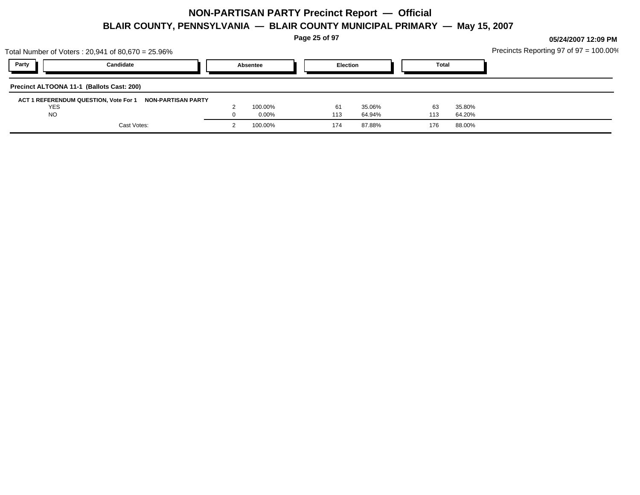**Page 25 of 97**

| Total Number of Voters: 20,941 of 80,670 = 25.96%        |          |                 |              |        | Precincts Reporting 97 of 97 = 100.00% |
|----------------------------------------------------------|----------|-----------------|--------------|--------|----------------------------------------|
| Party<br>Candidate                                       | Absentee | <b>Election</b> | <b>Total</b> |        |                                        |
| Precinct ALTOONA 11-1 (Ballots Cast: 200)                |          |                 |              |        |                                        |
| ACT 1 REFERENDUM QUESTION, Vote For 1 NON-PARTISAN PARTY |          |                 |              |        |                                        |
| YES                                                      | 100.00%  | 35.06%<br>61    | 63           | 35.80% |                                        |
| <b>NO</b>                                                | $0.00\%$ | 64.94%<br>113   | 113          | 64.20% |                                        |
| Cast Votes:                                              | 100.00%  | 87.88%<br>174   | 176          | 88.00% |                                        |
|                                                          |          |                 |              |        |                                        |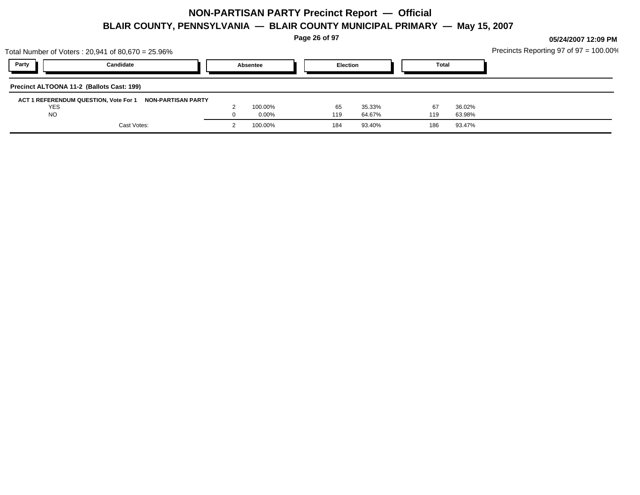**Page 26 of 97**

| Total Number of Voters : 20,941 of 80,670 = 25.96%       |          |                 |              |        | Precincts Reporting 97 of $97 = 100.00\%$ |
|----------------------------------------------------------|----------|-----------------|--------------|--------|-------------------------------------------|
| Party<br>Candidate                                       | Absentee | <b>Election</b> | <b>Total</b> |        |                                           |
| Precinct ALTOONA 11-2 (Ballots Cast: 199)                |          |                 |              |        |                                           |
| ACT 1 REFERENDUM QUESTION, Vote For 1 NON-PARTISAN PARTY |          |                 |              |        |                                           |
| <b>YES</b>                                               | 100.00%  | 35.33%<br>65    | 67           | 36.02% |                                           |
| <b>NO</b>                                                | $0.00\%$ | 64.67%<br>119   | 119          | 63.98% |                                           |
| Cast Votes:                                              | 100.00%  | 93.40%<br>184   | 186          | 93.47% |                                           |
|                                                          |          |                 |              |        |                                           |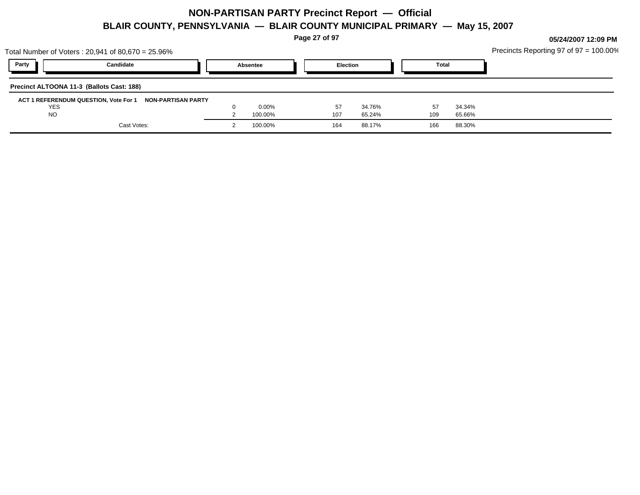**Page 27 of 97**

| Total Number of Voters: 20,941 of 80,670 = 25.96%        |          |     |                 |              |        | Precincts Reporting 97 of 97 = 100.00% |
|----------------------------------------------------------|----------|-----|-----------------|--------------|--------|----------------------------------------|
| Party<br>Candidate                                       | Absentee |     | <b>Election</b> | <b>Total</b> |        |                                        |
| Precinct ALTOONA 11-3 (Ballots Cast: 188)                |          |     |                 |              |        |                                        |
| ACT 1 REFERENDUM QUESTION, Vote For 1 NON-PARTISAN PARTY |          |     |                 |              |        |                                        |
| YES                                                      | $0.00\%$ |     | 34.76%<br>57    | 57           | 34.34% |                                        |
| <b>NO</b>                                                | 100.00%  | 107 | 65.24%          | 109          | 65.66% |                                        |
| Cast Votes:                                              | 100.00%  | 164 | 88.17%          | 166          | 88.30% |                                        |
|                                                          |          |     |                 |              |        |                                        |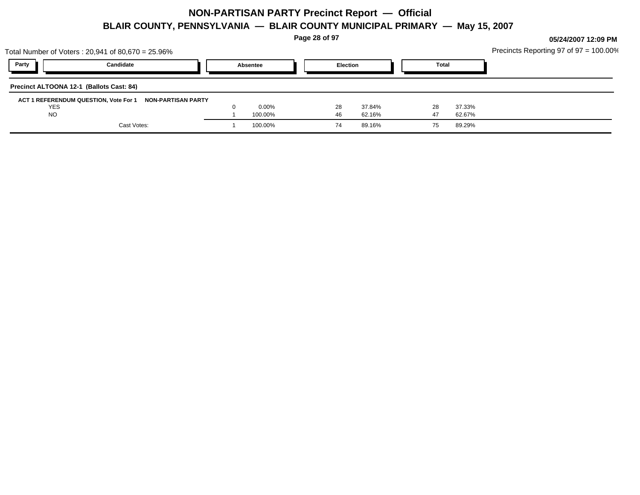**Page 28 of 97**

NO  $1$   $100.00\%$   $46$   $62.16\%$   $47$   $62.67\%$ Cast Votes: 1 100.00% 74 89.16% 75 89.29%

|            | Total Number of Voters : 20,941 of 80,670 = 25.96%       |          |          |       | Precincts Reporting 97 of 97 = 100.00% |
|------------|----------------------------------------------------------|----------|----------|-------|----------------------------------------|
| Party      | Candidate                                                | Absentee | Election | Total |                                        |
|            | Precinct ALTOONA 12-1 (Ballots Cast: 84)                 |          |          |       |                                        |
| <b>YES</b> | ACT 1 REFERENDUM QUESTION, Vote For 1 NON-PARTISAN PARTY | 0.00%    | 37.84%   |       | 37.33%                                 |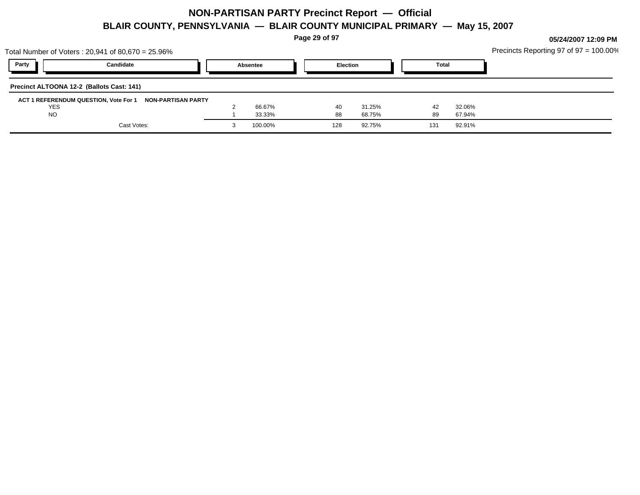**Page 29 of 97**

|                                           | Total Number of Voters: 20,941 of 80,670 = 25.96%        |          |     |                 |              |        | Precincts Reporting 97 of $97 = 100.00\%$ |
|-------------------------------------------|----------------------------------------------------------|----------|-----|-----------------|--------------|--------|-------------------------------------------|
| Party                                     | Candidate                                                | Absentee |     | <b>Election</b> | <b>Total</b> |        |                                           |
| Precinct ALTOONA 12-2 (Ballots Cast: 141) |                                                          |          |     |                 |              |        |                                           |
|                                           | ACT 1 REFERENDUM QUESTION, Vote For 1 NON-PARTISAN PARTY |          |     |                 |              |        |                                           |
| <b>YES</b>                                |                                                          | 66.67%   | 40  | 31.25%          | 42           | 32.06% |                                           |
| <b>NO</b>                                 |                                                          | 33.33%   | 88  | 68.75%          | 89           | 67.94% |                                           |
|                                           | Cast Votes:                                              | 100.00%  | 128 | 92.75%          | 131          | 92.91% |                                           |
|                                           |                                                          |          |     |                 |              |        |                                           |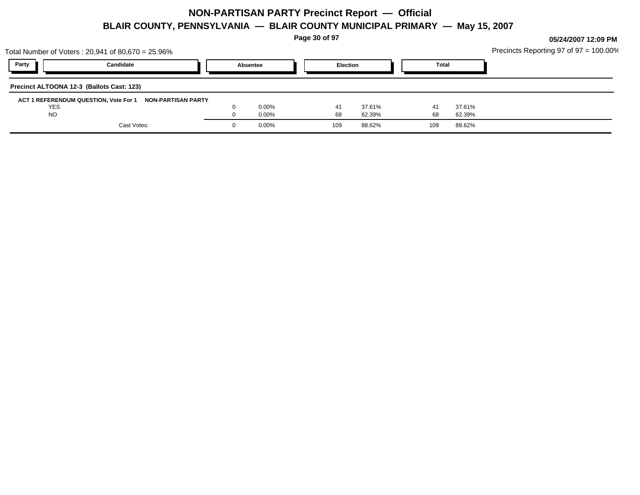**Page 30 of 97**

| Total Number of Voters: 20,941 of 80,670 = 25.96% |                                                          |          |     |                 |     |              | Precincts Reporting 97 of 97 = 100.00% |
|---------------------------------------------------|----------------------------------------------------------|----------|-----|-----------------|-----|--------------|----------------------------------------|
| Party                                             | Candidate                                                | Absentee |     | <b>Election</b> |     | <b>Total</b> |                                        |
| Precinct ALTOONA 12-3 (Ballots Cast: 123)         |                                                          |          |     |                 |     |              |                                        |
|                                                   | ACT 1 REFERENDUM QUESTION, Vote For 1 NON-PARTISAN PARTY |          |     |                 |     |              |                                        |
| <b>YES</b>                                        |                                                          | $0.00\%$ | 41  | 37.61%          | 41  | 37.61%       |                                        |
| <b>NO</b>                                         |                                                          | $0.00\%$ | 68  | 62.39%          | 68  | 62.39%       |                                        |
|                                                   | Cast Votes:                                              | $0.00\%$ | 109 | 88.62%          | 109 | 88.62%       |                                        |
|                                                   |                                                          |          |     |                 |     |              |                                        |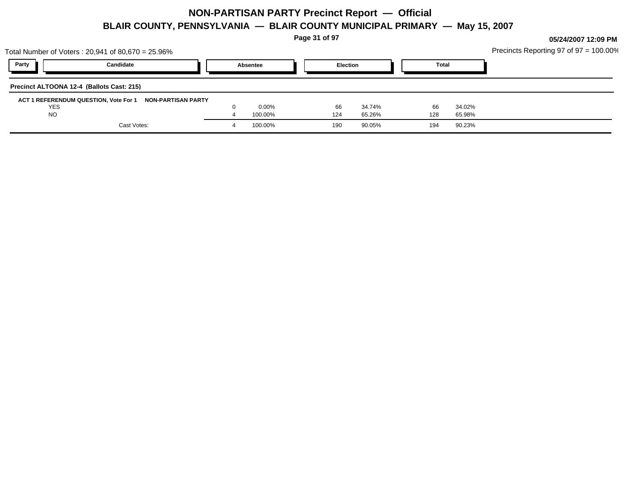**Page 31 of 97**

|            | Total Number of Voters : 20,941 of 80,670 = 25.96%       |          |                 |        |              |        | Precincts Reporting 97 of $97 = 100.00\%$ |
|------------|----------------------------------------------------------|----------|-----------------|--------|--------------|--------|-------------------------------------------|
| Party      | Candidate                                                | Absentee | <b>Election</b> |        | <b>Total</b> |        |                                           |
|            | Precinct ALTOONA 12-4 (Ballots Cast: 215)                |          |                 |        |              |        |                                           |
|            | ACT 1 REFERENDUM QUESTION, Vote For 1 NON-PARTISAN PARTY |          |                 |        |              |        |                                           |
| <b>YES</b> |                                                          | $0.00\%$ | 66              | 34.74% | 66           | 34.02% |                                           |
| <b>NO</b>  |                                                          | 100.00%  | 124             | 65.26% | 128          | 65.98% |                                           |
|            | Cast Votes:                                              | 100.00%  | 190             | 90.05% | 194          | 90.23% |                                           |
|            |                                                          |          |                 |        |              |        |                                           |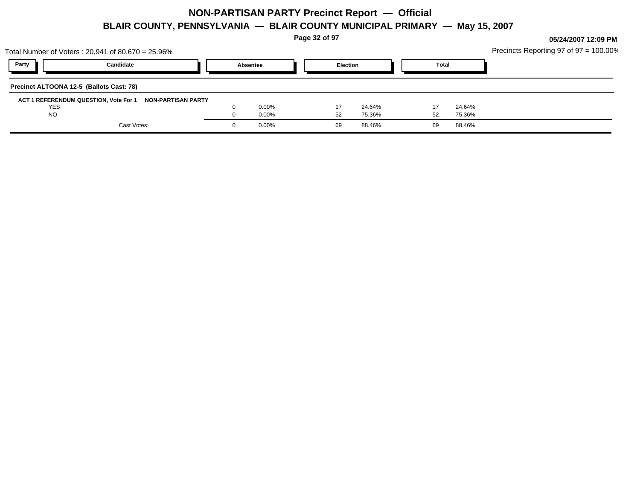**Page 32 of 97**

|                                          | Total Number of Voters: 20,941 of 80,670 = 25.96%        |          |    |                 |              |        | Precincts Reporting 97 of $97 = 100.00\%$ |
|------------------------------------------|----------------------------------------------------------|----------|----|-----------------|--------------|--------|-------------------------------------------|
| Party                                    | Candidate                                                | Absentee |    | <b>Election</b> | <b>Total</b> |        |                                           |
| Precinct ALTOONA 12-5 (Ballots Cast: 78) |                                                          |          |    |                 |              |        |                                           |
|                                          | ACT 1 REFERENDUM QUESTION, Vote For 1 NON-PARTISAN PARTY |          |    |                 |              |        |                                           |
| <b>YES</b>                               |                                                          | $0.00\%$ |    | 24.64%          |              | 24.64% |                                           |
| <b>NO</b>                                |                                                          | $0.00\%$ | 52 | 75.36%          | 52           | 75.36% |                                           |
|                                          | Cast Votes:                                              | $0.00\%$ | 69 | 88.46%          | 69           | 88.46% |                                           |
|                                          |                                                          |          |    |                 |              |        |                                           |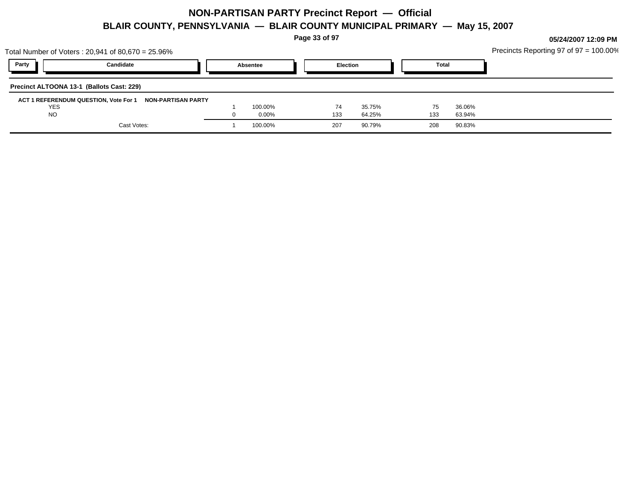**Page 33 of 97**

|            | Total Number of Voters : 20,941 of 80,670 = 25.96%       |          |                 |        |              |        | Precincts Reporting 97 of $97 = 100.00\%$ |
|------------|----------------------------------------------------------|----------|-----------------|--------|--------------|--------|-------------------------------------------|
| Party      | Candidate                                                | Absentee | <b>Election</b> |        | <b>Total</b> |        |                                           |
|            | Precinct ALTOONA 13-1 (Ballots Cast: 229)                |          |                 |        |              |        |                                           |
|            | ACT 1 REFERENDUM QUESTION, Vote For 1 NON-PARTISAN PARTY |          |                 |        |              |        |                                           |
| <b>YES</b> |                                                          | 100.00%  | 74              | 35.75% | $\sqrt{5}$   | 36.06% |                                           |
| <b>NO</b>  |                                                          | 0.00%    | 133             | 64.25% | 133          | 63.94% |                                           |
|            | Cast Votes:                                              | 100.00%  | 207             | 90.79% | 208          | 90.83% |                                           |
|            |                                                          |          |                 |        |              |        |                                           |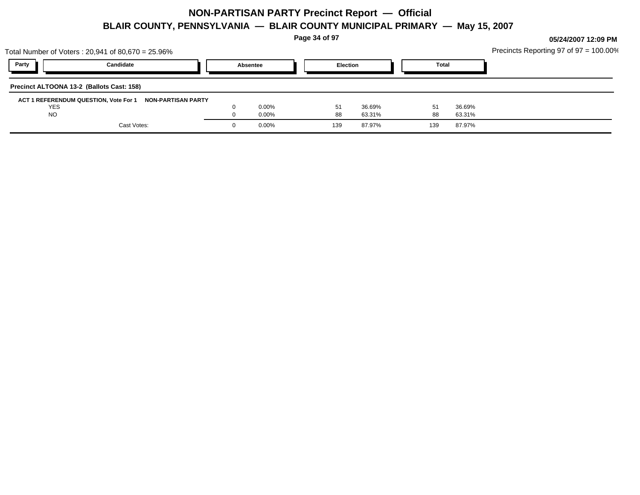**Page 34 of 97**

|                                           | Total Number of Voters: 20,941 of 80,670 = 25.96%        |          |     |                 |              |        | Precincts Reporting 97 of $97 = 100.00\%$ |
|-------------------------------------------|----------------------------------------------------------|----------|-----|-----------------|--------------|--------|-------------------------------------------|
| Party                                     | Candidate                                                | Absentee |     | <b>Election</b> | <b>Total</b> |        |                                           |
| Precinct ALTOONA 13-2 (Ballots Cast: 158) |                                                          |          |     |                 |              |        |                                           |
|                                           | ACT 1 REFERENDUM QUESTION, Vote For 1 NON-PARTISAN PARTY |          |     |                 |              |        |                                           |
| <b>YES</b>                                |                                                          | $0.00\%$ | 51  | 36.69%          |              | 36.69% |                                           |
| <b>NO</b>                                 |                                                          | $0.00\%$ | 88  | 63.31%          | 88           | 63.31% |                                           |
|                                           | Cast Votes:                                              | $0.00\%$ | 139 | 87.97%          | 139          | 87.97% |                                           |
|                                           |                                                          |          |     |                 |              |        |                                           |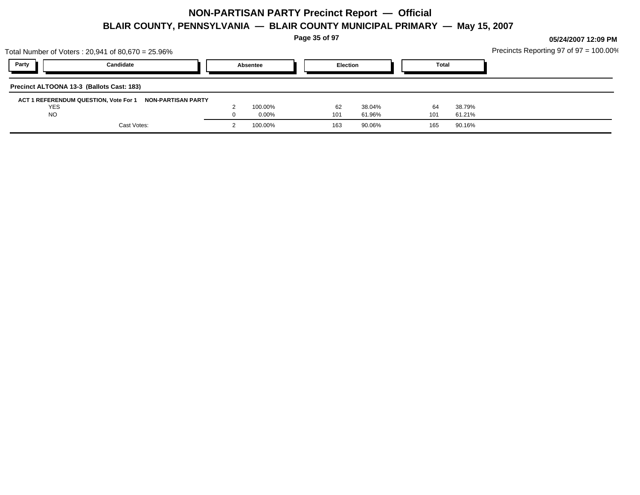**Page 35 of 97**

| Party<br><b>Election</b><br>Candidate<br><b>Total</b><br>Absentee<br>Precinct ALTOONA 13-3 (Ballots Cast: 183)<br>ACT 1 REFERENDUM QUESTION, Vote For 1 NON-PARTISAN PARTY<br>100.00%<br>38.79%<br><b>YES</b><br>62<br>38.04%<br>64<br><b>NO</b><br>0.00%<br>101<br>61.96%<br>101<br>61.21%<br>Cast Votes:<br>100.00%<br>90.06%<br>90.16%<br>163<br>165 | Total Number of Voters : 20,941 of 80,670 = 25.96% |  |  |  |  | Precincts Reporting 97 of $97 = 100.00\%$ |
|---------------------------------------------------------------------------------------------------------------------------------------------------------------------------------------------------------------------------------------------------------------------------------------------------------------------------------------------------------|----------------------------------------------------|--|--|--|--|-------------------------------------------|
|                                                                                                                                                                                                                                                                                                                                                         |                                                    |  |  |  |  |                                           |
|                                                                                                                                                                                                                                                                                                                                                         |                                                    |  |  |  |  |                                           |
|                                                                                                                                                                                                                                                                                                                                                         |                                                    |  |  |  |  |                                           |
|                                                                                                                                                                                                                                                                                                                                                         |                                                    |  |  |  |  |                                           |
|                                                                                                                                                                                                                                                                                                                                                         |                                                    |  |  |  |  |                                           |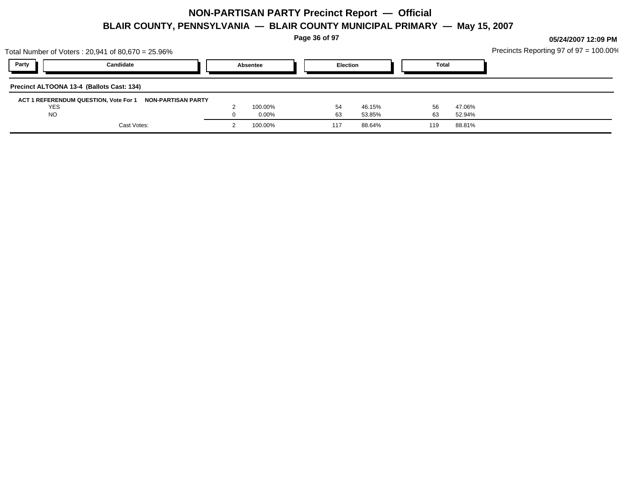**Page 36 of 97**

|            | Total Number of Voters: 20,941 of 80,670 = 25.96%        |          |                 |        |              |        | Precincts Reporting 97 of $97 = 100.00\%$ |
|------------|----------------------------------------------------------|----------|-----------------|--------|--------------|--------|-------------------------------------------|
| Party      | Candidate                                                | Absentee | <b>Election</b> |        | <b>Total</b> |        |                                           |
|            | Precinct ALTOONA 13-4 (Ballots Cast: 134)                |          |                 |        |              |        |                                           |
|            | ACT 1 REFERENDUM QUESTION, Vote For 1 NON-PARTISAN PARTY |          |                 |        |              |        |                                           |
| <b>YES</b> |                                                          | 100.00%  | 54              | 46.15% | 56           | 47.06% |                                           |
| <b>NO</b>  |                                                          | $0.00\%$ | 63              | 53.85% | 63           | 52.94% |                                           |
|            | Cast Votes:                                              | 100.00%  | 117             | 88.64% | 119          | 88.81% |                                           |
|            |                                                          |          |                 |        |              |        |                                           |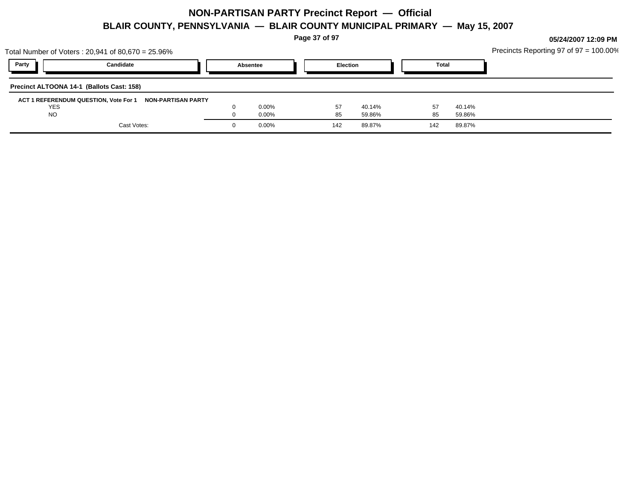**Page 37 of 97**

|            | Total Number of Voters : 20,941 of 80,670 = 25.96%       |          |     |                 |              |        | Precincts Reporting 97 of 97 = 100.00% |
|------------|----------------------------------------------------------|----------|-----|-----------------|--------------|--------|----------------------------------------|
| Party      | Candidate                                                | Absentee |     | <b>Election</b> | <b>Total</b> |        |                                        |
|            | Precinct ALTOONA 14-1 (Ballots Cast: 158)                |          |     |                 |              |        |                                        |
|            | ACT 1 REFERENDUM QUESTION, Vote For 1 NON-PARTISAN PARTY |          |     |                 |              |        |                                        |
| <b>YES</b> |                                                          | $0.00\%$ | 57  | 40.14%          | 57           | 40.14% |                                        |
| <b>NO</b>  |                                                          | $0.00\%$ | 85  | 59.86%          | 85           | 59.86% |                                        |
|            | Cast Votes:                                              | $0.00\%$ | 142 | 89.87%          | 142          | 89.87% |                                        |
|            |                                                          |          |     |                 |              |        |                                        |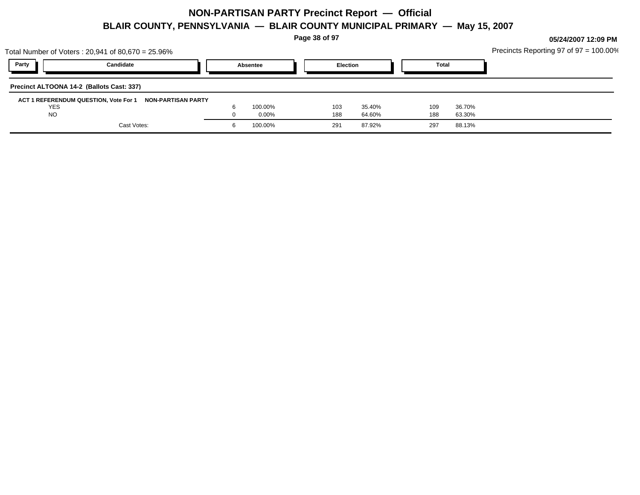**Page 38 of 97**

|            | Total Number of Voters: 20,941 of 80,670 = 25.96%        |          |     |                 |              |        | Precincts Reporting 97 of $97 = 100.00\%$ |
|------------|----------------------------------------------------------|----------|-----|-----------------|--------------|--------|-------------------------------------------|
| Party      | Candidate                                                | Absentee |     | <b>Election</b> | <b>Total</b> |        |                                           |
|            | Precinct ALTOONA 14-2 (Ballots Cast: 337)                |          |     |                 |              |        |                                           |
|            | ACT 1 REFERENDUM QUESTION, Vote For 1 NON-PARTISAN PARTY |          |     |                 |              |        |                                           |
| <b>YES</b> |                                                          | 100.00%  | 103 | 35.40%          | 109          | 36.70% |                                           |
| <b>NO</b>  |                                                          | $0.00\%$ | 188 | 64.60%          | 188          | 63.30% |                                           |
|            | Cast Votes:                                              | 100.00%  | 291 | 87.92%          | 297          | 88.13% |                                           |
|            |                                                          |          |     |                 |              |        |                                           |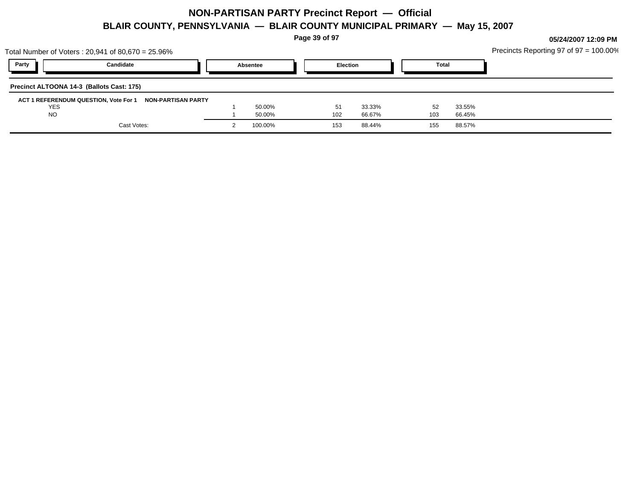**Page 39 of 97**

|                                           | Total Number of Voters: 20,941 of 80,670 = 25.96%           |          |                 |        |       |        | Precincts Reporting 97 of 97 = 100.00% |
|-------------------------------------------|-------------------------------------------------------------|----------|-----------------|--------|-------|--------|----------------------------------------|
| Party                                     | Candidate                                                   | Absentee | <b>Election</b> |        | Total |        |                                        |
| Precinct ALTOONA 14-3 (Ballots Cast: 175) |                                                             |          |                 |        |       |        |                                        |
|                                           | ACT 1 REFERENDUM QUESTION, Vote For 1<br>NON-PARTISAN PARTY |          |                 |        |       |        |                                        |
| <b>YES</b>                                |                                                             | 50.00%   | 51              | 33.33% | 52    | 33.55% |                                        |
| <b>NO</b>                                 |                                                             | 50.00%   | 102             | 66.67% | 103   | 66.45% |                                        |
|                                           | Cast Votes:                                                 | 100.00%  | 153             | 88.44% | 155   | 88.57% |                                        |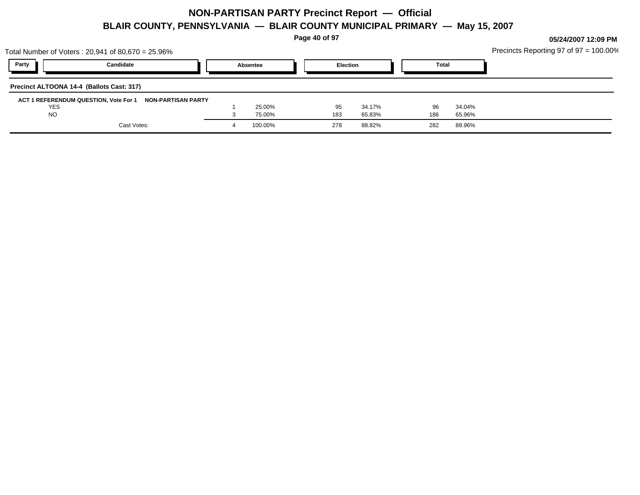**Page 40 of 97**

|            | Total Number of Voters: 20,941 of 80,670 = 25.96%        |          |     |                 |              |        | Precincts Reporting 97 of $97 = 100.00\%$ |
|------------|----------------------------------------------------------|----------|-----|-----------------|--------------|--------|-------------------------------------------|
| Party      | Candidate                                                | Absentee |     | <b>Election</b> | <b>Total</b> |        |                                           |
|            | Precinct ALTOONA 14-4 (Ballots Cast: 317)                |          |     |                 |              |        |                                           |
|            | ACT 1 REFERENDUM QUESTION, Vote For 1 NON-PARTISAN PARTY |          |     |                 |              |        |                                           |
| <b>YES</b> |                                                          | 25.00%   |     | 34.17%<br>95    | 96           | 34.04% |                                           |
| <b>NO</b>  |                                                          | 75.00%   | 183 | 65.83%          | 186          | 65.96% |                                           |
|            | Cast Votes:                                              | 100.00%  | 278 | 88.82%          | 282          | 88.96% |                                           |
|            |                                                          |          |     |                 |              |        |                                           |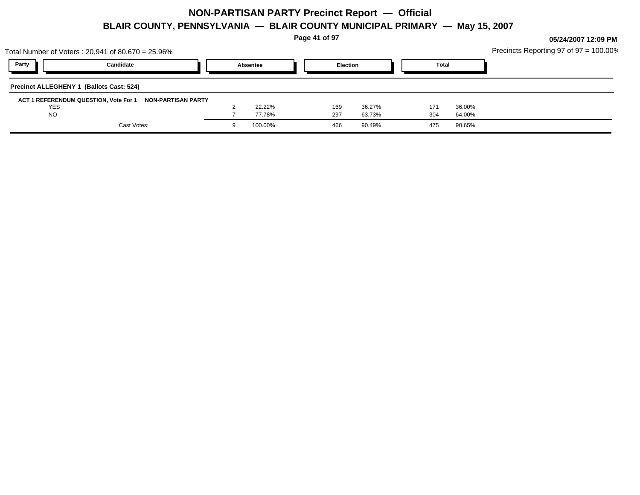**Page 41 of 97**

|                                          | Total Number of Voters : 20,941 of 80,670 = 25.96%       |          |     |                 |              |        | Precincts Reporting 97 of $97 = 100.00\%$ |
|------------------------------------------|----------------------------------------------------------|----------|-----|-----------------|--------------|--------|-------------------------------------------|
| Party                                    | Candidate                                                | Absentee |     | <b>Election</b> | <b>Total</b> |        |                                           |
| Precinct ALLEGHENY 1 (Ballots Cast: 524) |                                                          |          |     |                 |              |        |                                           |
|                                          | ACT 1 REFERENDUM QUESTION, Vote For 1 NON-PARTISAN PARTY |          |     |                 |              |        |                                           |
| <b>YES</b>                               |                                                          | 22.22%   | 169 | 36.27%          | 171          | 36.00% |                                           |
| <b>NO</b>                                |                                                          | 77.78%   | 297 | 63.73%          | 304          | 64.00% |                                           |
|                                          | Cast Votes:                                              | 100.00%  | 466 | 90.49%          | 475          | 90.65% |                                           |
|                                          |                                                          |          |     |                 |              |        |                                           |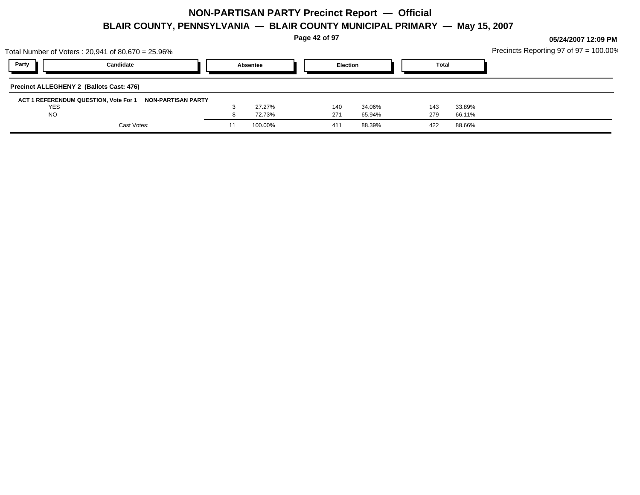**Page 42 of 97**

| Party<br><b>Election</b><br>Candidate<br><b>Total</b><br>Absentee<br>Precinct ALLEGHENY 2 (Ballots Cast: 476)<br>ACT 1 REFERENDUM QUESTION, Vote For 1 NON-PARTISAN PARTY<br><b>YES</b><br>27.27%<br>33.89%<br>34.06%<br>140<br>143<br><b>NO</b><br>271<br>279<br>72.73%<br>65.94%<br>66.11%<br>Cast Votes:<br>100.00%<br>88.39%<br>88.66%<br>422<br>411<br>11 | Total Number of Voters : 20,941 of 80,670 = 25.96% |  |  |  | Precincts Reporting 97 of $97 = 100.00\%$ |
|----------------------------------------------------------------------------------------------------------------------------------------------------------------------------------------------------------------------------------------------------------------------------------------------------------------------------------------------------------------|----------------------------------------------------|--|--|--|-------------------------------------------|
|                                                                                                                                                                                                                                                                                                                                                                |                                                    |  |  |  |                                           |
|                                                                                                                                                                                                                                                                                                                                                                |                                                    |  |  |  |                                           |
|                                                                                                                                                                                                                                                                                                                                                                |                                                    |  |  |  |                                           |
|                                                                                                                                                                                                                                                                                                                                                                |                                                    |  |  |  |                                           |
|                                                                                                                                                                                                                                                                                                                                                                |                                                    |  |  |  |                                           |
|                                                                                                                                                                                                                                                                                                                                                                |                                                    |  |  |  |                                           |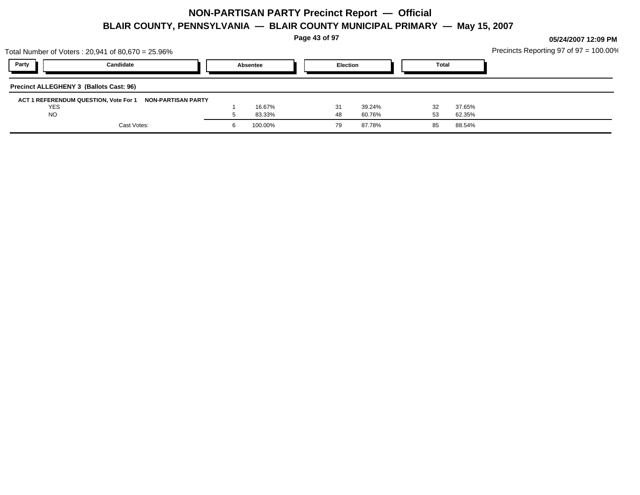**Page 43 of 97**

|            | Total Number of Voters: 20,941 of 80,670 = 25.96%        |          |                 |              |        | Precincts Reporting 97 of $97 = 100.00\%$ |
|------------|----------------------------------------------------------|----------|-----------------|--------------|--------|-------------------------------------------|
| Party      | Candidate                                                | Absentee | <b>Election</b> | <b>Total</b> |        |                                           |
|            | <b>Precinct ALLEGHENY 3 (Ballots Cast: 96)</b>           |          |                 |              |        |                                           |
|            | ACT 1 REFERENDUM QUESTION, Vote For 1 NON-PARTISAN PARTY |          |                 |              |        |                                           |
| <b>YES</b> |                                                          | 16.67%   | 39.24%<br>31    | 32           | 37.65% |                                           |
| <b>NO</b>  |                                                          | 83.33%   | 60.76%<br>48    | 53           | 62.35% |                                           |
|            | Cast Votes:                                              | 100.00%  | 87.78%<br>79    | 85           | 88.54% |                                           |
|            |                                                          |          |                 |              |        |                                           |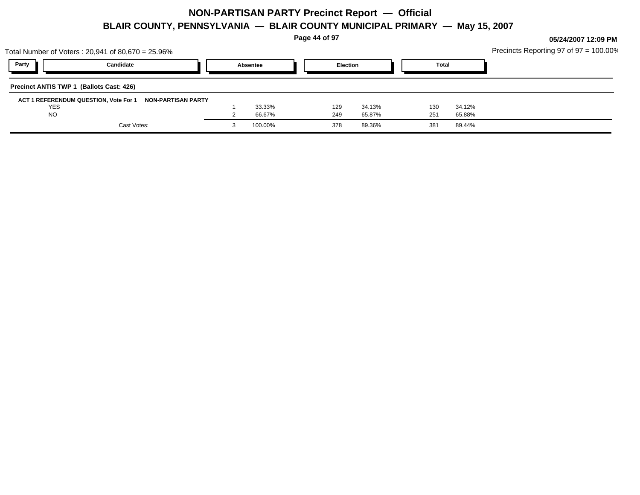**Page 44 of 97**

|            | Total Number of Voters : 20,941 of 80,670 = 25.96%       |          |                 |        |              |        | Precincts Reporting 97 of $97 = 100.00\%$ |
|------------|----------------------------------------------------------|----------|-----------------|--------|--------------|--------|-------------------------------------------|
| Party      | Candidate                                                | Absentee | <b>Election</b> |        | <b>Total</b> |        |                                           |
|            | Precinct ANTIS TWP 1 (Ballots Cast: 426)                 |          |                 |        |              |        |                                           |
|            | ACT 1 REFERENDUM QUESTION, Vote For 1 NON-PARTISAN PARTY |          |                 |        |              |        |                                           |
| <b>YES</b> |                                                          | 33.33%   | 129             | 34.13% | 130          | 34.12% |                                           |
| <b>NO</b>  |                                                          | 66.67%   | 249             | 65.87% | 251          | 65.88% |                                           |
|            | Cast Votes:                                              | 100.00%  | 378             | 89.36% | 381          | 89.44% |                                           |
|            |                                                          |          |                 |        |              |        |                                           |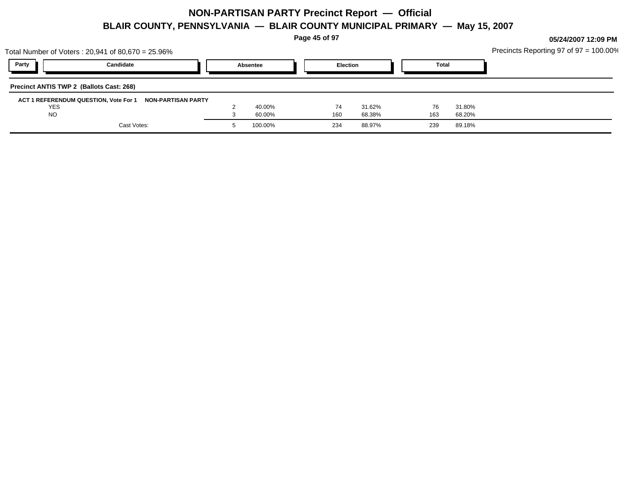**Page 45 of 97**

| Total Number of Voters: 20,941 of 80,670 = 25.96%        |          |                 |        |              |        | Precincts Reporting 97 of $97 = 100.00\%$ |
|----------------------------------------------------------|----------|-----------------|--------|--------------|--------|-------------------------------------------|
| Party<br>Candidate                                       | Absentee | <b>Election</b> |        | <b>Total</b> |        |                                           |
| Precinct ANTIS TWP 2 (Ballots Cast: 268)                 |          |                 |        |              |        |                                           |
| ACT 1 REFERENDUM QUESTION, Vote For 1 NON-PARTISAN PARTY |          |                 |        |              |        |                                           |
| <b>YES</b>                                               | 40.00%   | 74              | 31.62% | 76           | 31.80% |                                           |
| <b>NO</b>                                                | 60.00%   | 160             | 68.38% | 163          | 68.20% |                                           |
| Cast Votes:                                              | 100.00%  | 234             | 88.97% | 239          | 89.18% |                                           |
|                                                          |          |                 |        |              |        |                                           |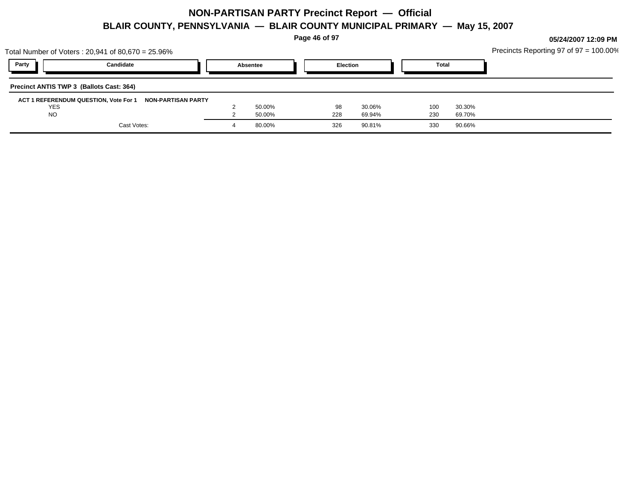**Page 46 of 97**

|            | Total Number of Voters: 20,941 of 80,670 = 25.96%        |          |                 |        |     |              | Precincts Reporting 97 of $97 = 100.00\%$ |
|------------|----------------------------------------------------------|----------|-----------------|--------|-----|--------------|-------------------------------------------|
| Party      | Candidate                                                | Absentee | <b>Election</b> |        |     | <b>Total</b> |                                           |
|            | Precinct ANTIS TWP 3 (Ballots Cast: 364)                 |          |                 |        |     |              |                                           |
| <b>YES</b> | ACT 1 REFERENDUM QUESTION, Vote For 1 NON-PARTISAN PARTY | 50.00%   | 98              | 30.06% | 100 | 30.30%       |                                           |
| <b>NO</b>  |                                                          | 50.00%   | 228             | 69.94% | 230 | 69.70%       |                                           |
|            | Cast Votes:                                              | 80.00%   | 326             | 90.81% | 330 | 90.66%       |                                           |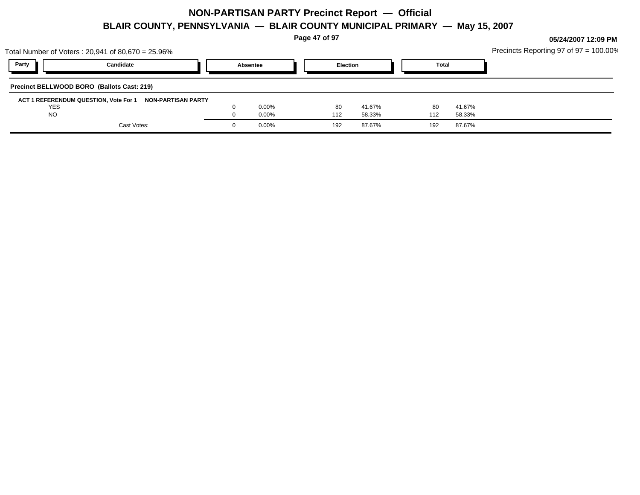**Page 47 of 97**

|            | Total Number of Voters : 20,941 of 80,670 = 25.96%       |          |     |                 |              |        | Precincts Reporting 97 of $97 = 100.00\%$ |
|------------|----------------------------------------------------------|----------|-----|-----------------|--------------|--------|-------------------------------------------|
| Party      | Candidate                                                | Absentee |     | <b>Election</b> | <b>Total</b> |        |                                           |
|            | Precinct BELLWOOD BORO (Ballots Cast: 219)               |          |     |                 |              |        |                                           |
|            | ACT 1 REFERENDUM QUESTION, Vote For 1 NON-PARTISAN PARTY |          |     |                 |              |        |                                           |
| <b>YES</b> |                                                          | $0.00\%$ | -80 | 41.67%          | 80           | 41.67% |                                           |
| <b>NO</b>  |                                                          | 0.00%    | 112 | 58.33%          | 112          | 58.33% |                                           |
|            | Cast Votes:                                              | 0.00%    | 192 | 87.67%          | 192          | 87.67% |                                           |
|            |                                                          |          |     |                 |              |        |                                           |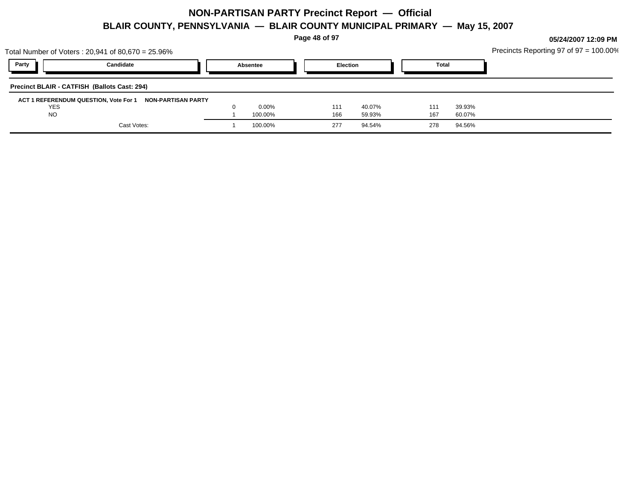**Page 48 of 97**

|            | Total Number of Voters : 20,941 of 80,670 = 25.96%       |          |     |                 |              |        | Precincts Reporting 97 of $97 = 100.00\%$ |
|------------|----------------------------------------------------------|----------|-----|-----------------|--------------|--------|-------------------------------------------|
| Party      | Candidate                                                | Absentee |     | <b>Election</b> | <b>Total</b> |        |                                           |
|            | Precinct BLAIR - CATFISH (Ballots Cast: 294)             |          |     |                 |              |        |                                           |
|            | ACT 1 REFERENDUM QUESTION, Vote For 1 NON-PARTISAN PARTY |          |     |                 |              |        |                                           |
| <b>YES</b> |                                                          | $0.00\%$ | 111 | 40.07%          | 111          | 39.93% |                                           |
| <b>NO</b>  |                                                          | 100.00%  | 166 | 59.93%          | 167          | 60.07% |                                           |
|            | Cast Votes:                                              | 100.00%  | 277 | 94.54%          | 278          | 94.56% |                                           |
|            |                                                          |          |     |                 |              |        |                                           |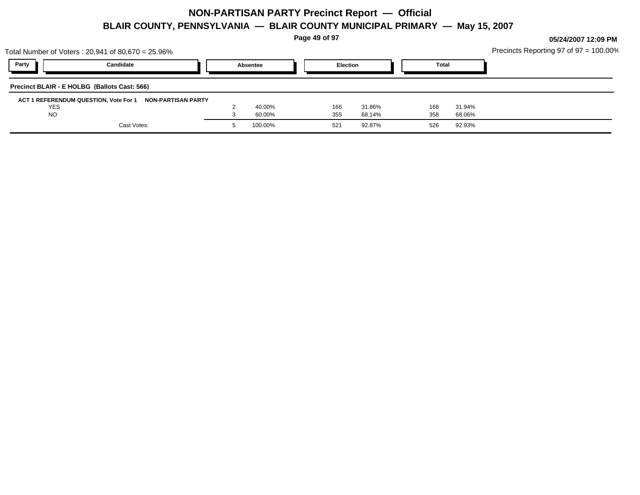**Page 49 of 97**

| Party<br>Candidate<br><b>Election</b><br><b>Total</b><br>Absentee | Precincts Reporting 97 of 97 = 100.00% |
|-------------------------------------------------------------------|----------------------------------------|
|                                                                   |                                        |
| Precinct BLAIR - E HOLBG (Ballots Cast: 566)                      |                                        |
| ACT 1 REFERENDUM QUESTION, Vote For 1 NON-PARTISAN PARTY          |                                        |
| <b>YES</b><br>40.00%<br>166<br>31.94%<br>31.86%<br>168            |                                        |
| <b>NO</b><br>358<br>355<br>68.14%<br>60.00%<br>68.06%             |                                        |
| Cast Votes:<br>100.00%<br>92.87%<br>92.93%<br>526<br>521          |                                        |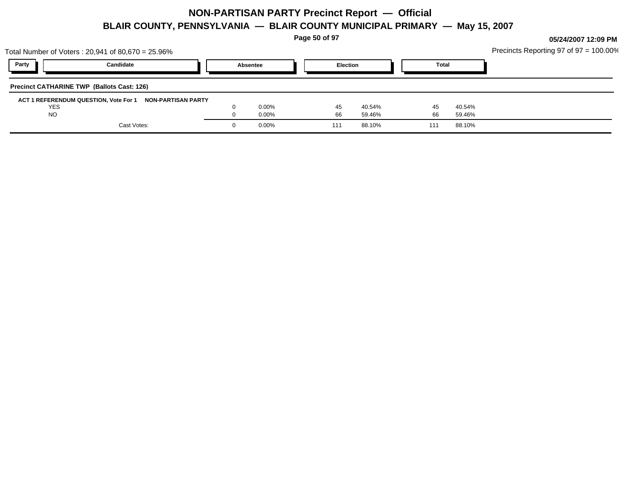**Page 50 of 97**

|                                                   | Total Number of Voters: 20,941 of 80,670 = 25.96%        |          |       |     |                 |  |              |        | Precincts Reporting 97 of $97 = 100.00\%$ |
|---------------------------------------------------|----------------------------------------------------------|----------|-------|-----|-----------------|--|--------------|--------|-------------------------------------------|
| Party                                             | Candidate                                                | Absentee |       |     | <b>Election</b> |  | <b>Total</b> |        |                                           |
| <b>Precinct CATHARINE TWP (Ballots Cast: 126)</b> |                                                          |          |       |     |                 |  |              |        |                                           |
|                                                   | ACT 1 REFERENDUM QUESTION, Vote For 1 NON-PARTISAN PARTY |          |       |     |                 |  |              |        |                                           |
| <b>YES</b>                                        |                                                          |          | 0.00% | 45  | 40.54%          |  | 45           | 40.54% |                                           |
| <b>NO</b>                                         |                                                          |          | 0.00% | 66  | 59.46%          |  | 66           | 59.46% |                                           |
|                                                   | Cast Votes:                                              |          | 0.00% | 111 | 88.10%          |  | 111          | 88.10% |                                           |
|                                                   |                                                          |          |       |     |                 |  |              |        |                                           |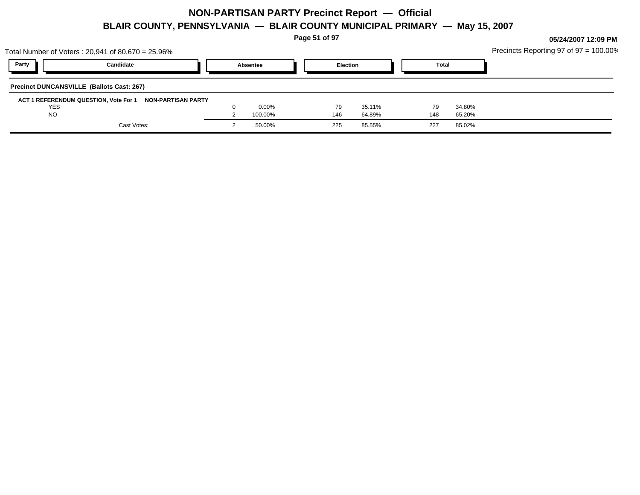**Page 51 of 97**

|                                                  | Total Number of Voters: 20,941 of 80,670 = 25.96% |          |         |     |                 |  |              |        | Precincts Reporting 97 of 97 = 100.00% |
|--------------------------------------------------|---------------------------------------------------|----------|---------|-----|-----------------|--|--------------|--------|----------------------------------------|
| Party                                            | Candidate                                         | Absentee |         |     | <b>Election</b> |  | <b>Total</b> |        |                                        |
| <b>Precinct DUNCANSVILLE (Ballots Cast: 267)</b> |                                                   |          |         |     |                 |  |              |        |                                        |
| ACT 1 REFERENDUM QUESTION, Vote For 1            | NON-PARTISAN PARTY                                |          |         |     |                 |  |              |        |                                        |
| <b>YES</b>                                       |                                                   |          | 0.00%   | 79  | 35.11%          |  | 79           | 34.80% |                                        |
| <b>NO</b>                                        |                                                   |          | 100.00% | 146 | 64.89%          |  | 148          | 65.20% |                                        |
|                                                  | Cast Votes:                                       |          | 50.00%  | 225 | 85.55%          |  | 227          | 85.02% |                                        |
|                                                  |                                                   |          |         |     |                 |  |              |        |                                        |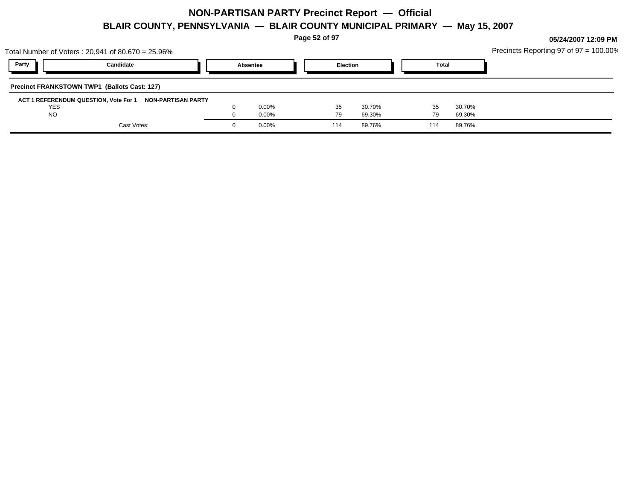**Page 52 of 97**

| Total Number of Voters : 20,941 of 80,670 = 25.96%       |          |     |                 |              |        | Precincts Reporting 97 of $97 = 100.00\%$ |
|----------------------------------------------------------|----------|-----|-----------------|--------------|--------|-------------------------------------------|
| Party<br>Candidate                                       | Absentee |     | <b>Election</b> | <b>Total</b> |        |                                           |
| <b>Precinct FRANKSTOWN TWP1 (Ballots Cast: 127)</b>      |          |     |                 |              |        |                                           |
| ACT 1 REFERENDUM QUESTION, Vote For 1 NON-PARTISAN PARTY |          |     |                 |              |        |                                           |
| <b>YES</b>                                               | 0.00%    | 35  | 30.70%          | 35           | 30.70% |                                           |
| <b>NO</b>                                                | 0.00%    | 79  | 69.30%          | 79           | 69.30% |                                           |
| Cast Votes:                                              | 0.00%    | 114 | 89.76%          | 114          | 89.76% |                                           |
|                                                          |          |     |                 |              |        |                                           |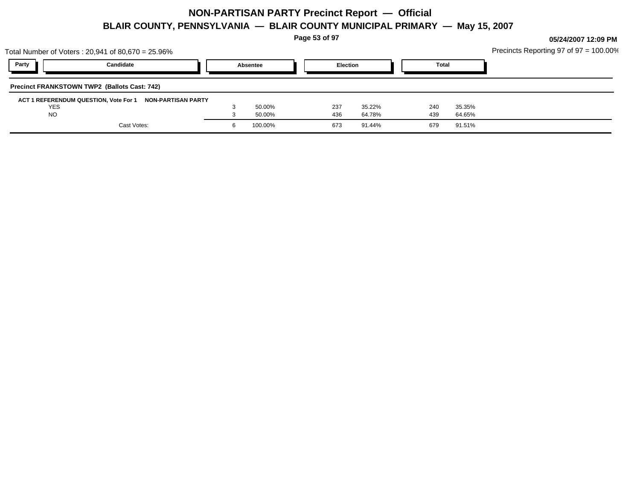**Page 53 of 97**

|            | Total Number of Voters : 20,941 of 80,670 = 25.96%       |          |         |     |                 |  |              |        | Precincts Reporting 97 of $97 = 100.00\%$ |
|------------|----------------------------------------------------------|----------|---------|-----|-----------------|--|--------------|--------|-------------------------------------------|
| Party      | Candidate                                                | Absentee |         |     | <b>Election</b> |  | <b>Total</b> |        |                                           |
|            | <b>Precinct FRANKSTOWN TWP2 (Ballots Cast: 742)</b>      |          |         |     |                 |  |              |        |                                           |
|            | ACT 1 REFERENDUM QUESTION, Vote For 1 NON-PARTISAN PARTY |          |         |     |                 |  |              |        |                                           |
| <b>YES</b> |                                                          |          | 50.00%  | 237 | 35.22%          |  | 240          | 35.35% |                                           |
| <b>NO</b>  |                                                          |          | 50.00%  | 436 | 64.78%          |  | 439          | 64.65% |                                           |
|            | Cast Votes:                                              |          | 100.00% | 673 | 91.44%          |  | 679          | 91.51% |                                           |
|            |                                                          |          |         |     |                 |  |              |        |                                           |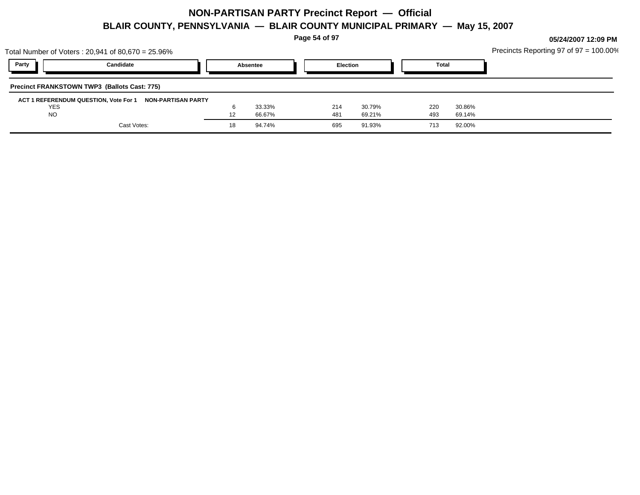**Page 54 of 97**

|            | Total Number of Voters : 20,941 of 80,670 = 25.96%       |    |          |     |                 |     |              | Precincts Reporting 97 of $97 = 100.00\%$ |
|------------|----------------------------------------------------------|----|----------|-----|-----------------|-----|--------------|-------------------------------------------|
| Party      | Candidate                                                |    | Absentee |     | <b>Election</b> |     | <b>Total</b> |                                           |
|            | <b>Precinct FRANKSTOWN TWP3 (Ballots Cast: 775)</b>      |    |          |     |                 |     |              |                                           |
|            | ACT 1 REFERENDUM QUESTION, Vote For 1 NON-PARTISAN PARTY |    |          |     |                 |     |              |                                           |
| <b>YES</b> |                                                          |    | 33.33%   | 214 | 30.79%          | 220 | 30.86%       |                                           |
| <b>NO</b>  |                                                          | 12 | 66.67%   | 481 | 69.21%          | 493 | 69.14%       |                                           |
|            | Cast Votes:                                              | 18 | 94.74%   | 695 | 91.93%          | 713 | 92.00%       |                                           |
|            |                                                          |    |          |     |                 |     |              |                                           |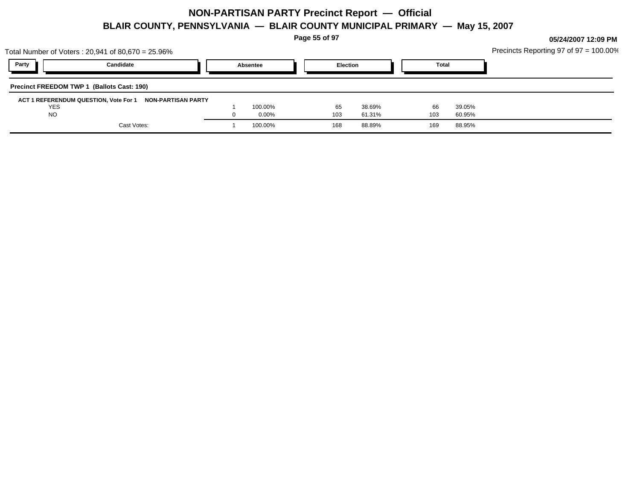**Page 55 of 97**

| Total Number of Voters : 20,941 of 80,670 = 25.96%       |             |          |                  |           |                  |  |              |                  | Precincts Reporting 97 of $97 = 100.00\%$ |
|----------------------------------------------------------|-------------|----------|------------------|-----------|------------------|--|--------------|------------------|-------------------------------------------|
| Party                                                    | Candidate   | Absentee |                  |           | <b>Election</b>  |  | <b>Total</b> |                  |                                           |
| Precinct FREEDOM TWP 1 (Ballots Cast: 190)               |             |          |                  |           |                  |  |              |                  |                                           |
| ACT 1 REFERENDUM QUESTION, Vote For 1 NON-PARTISAN PARTY |             |          |                  |           |                  |  |              |                  |                                           |
| <b>YES</b><br><b>NO</b>                                  |             |          | 100.00%<br>0.00% | 65<br>103 | 38.69%<br>61.31% |  | 66<br>103    | 39.05%<br>60.95% |                                           |
|                                                          | Cast Votes: |          | 100.00%          | 168       | 88.89%           |  | 169          | 88.95%           |                                           |
|                                                          |             |          |                  |           |                  |  |              |                  |                                           |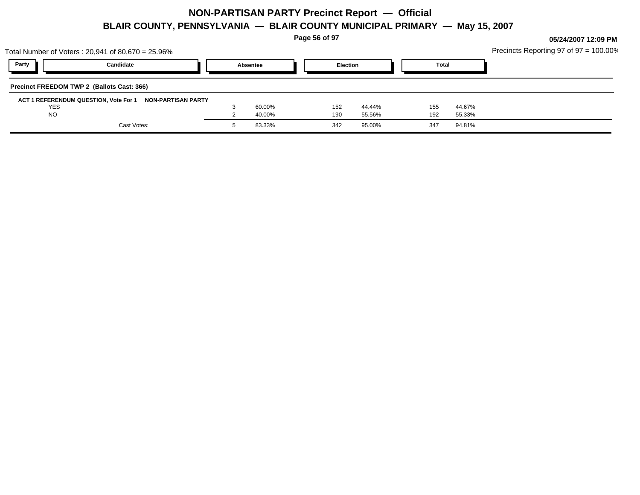**Page 56 of 97**

|            | Total Number of Voters : 20,941 of 80,670 = 25.96%       |          |        |     |                 |  |              |        | Precincts Reporting 97 of $97 = 100.00\%$ |
|------------|----------------------------------------------------------|----------|--------|-----|-----------------|--|--------------|--------|-------------------------------------------|
| Party      | Candidate                                                | Absentee |        |     | <b>Election</b> |  | <b>Total</b> |        |                                           |
|            | Precinct FREEDOM TWP 2 (Ballots Cast: 366)               |          |        |     |                 |  |              |        |                                           |
|            | ACT 1 REFERENDUM QUESTION, Vote For 1 NON-PARTISAN PARTY |          |        |     |                 |  |              |        |                                           |
| <b>YES</b> |                                                          |          | 60.00% | 152 | 44.44%          |  | 155          | 44.67% |                                           |
| <b>NO</b>  |                                                          |          | 40.00% | 190 | 55.56%          |  | 192          | 55.33% |                                           |
|            | Cast Votes:                                              |          | 83.33% | 342 | 95.00%          |  | 347          | 94.81% |                                           |
|            |                                                          |          |        |     |                 |  |              |        |                                           |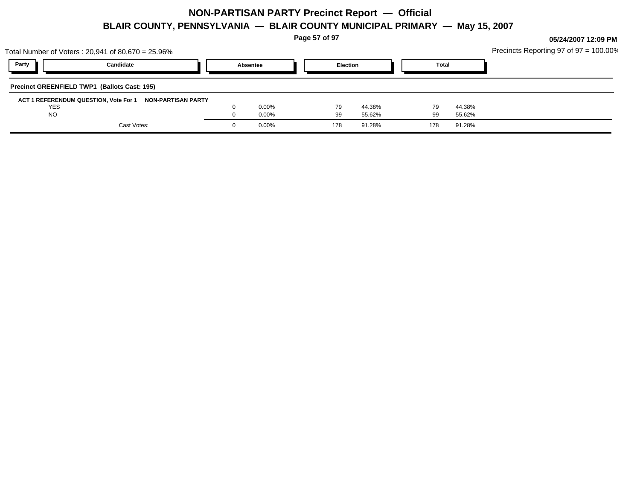**Page 57 of 97**

|            | Total Number of Voters: 20,941 of 80,670 = 25.96%        |          |       |     |                 |     |              | Precincts Reporting 97 of $97 = 100.00\%$ |
|------------|----------------------------------------------------------|----------|-------|-----|-----------------|-----|--------------|-------------------------------------------|
| Party      | Candidate                                                | Absentee |       |     | <b>Election</b> |     | <b>Total</b> |                                           |
|            | <b>Precinct GREENFIELD TWP1 (Ballots Cast: 195)</b>      |          |       |     |                 |     |              |                                           |
|            | ACT 1 REFERENDUM QUESTION, Vote For 1 NON-PARTISAN PARTY |          |       |     |                 |     |              |                                           |
| <b>YES</b> |                                                          |          | 0.00% | 79  | 44.38%          | 79  | 44.38%       |                                           |
| <b>NO</b>  |                                                          |          | 0.00% | 99  | 55.62%          | 99  | 55.62%       |                                           |
|            | Cast Votes:                                              |          | 0.00% | 178 | 91.28%          | 178 | 91.28%       |                                           |
|            |                                                          |          |       |     |                 |     |              |                                           |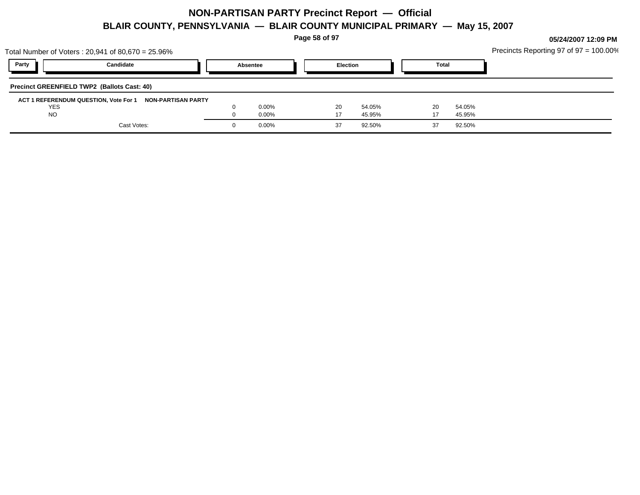**Page 58 of 97**

|            | Total Number of Voters: 20,941 of 80,670 = 25.96%        |          |       |    |                 |    |              | Precincts Reporting 97 of $97 = 100.00\%$ |
|------------|----------------------------------------------------------|----------|-------|----|-----------------|----|--------------|-------------------------------------------|
| Party      | Candidate                                                | Absentee |       |    | <b>Election</b> |    | <b>Total</b> |                                           |
|            | <b>Precinct GREENFIELD TWP2 (Ballots Cast: 40)</b>       |          |       |    |                 |    |              |                                           |
|            | ACT 1 REFERENDUM QUESTION, Vote For 1 NON-PARTISAN PARTY |          |       |    |                 |    |              |                                           |
| <b>YES</b> |                                                          |          | 0.00% | 20 | 54.05%          | 20 | 54.05%       |                                           |
| <b>NO</b>  |                                                          |          | 0.00% |    | 45.95%          |    | 45.95%       |                                           |
|            | Cast Votes:                                              |          | 0.00% |    | 92.50%          |    | 92.50%       |                                           |
|            |                                                          |          |       |    |                 |    |              |                                           |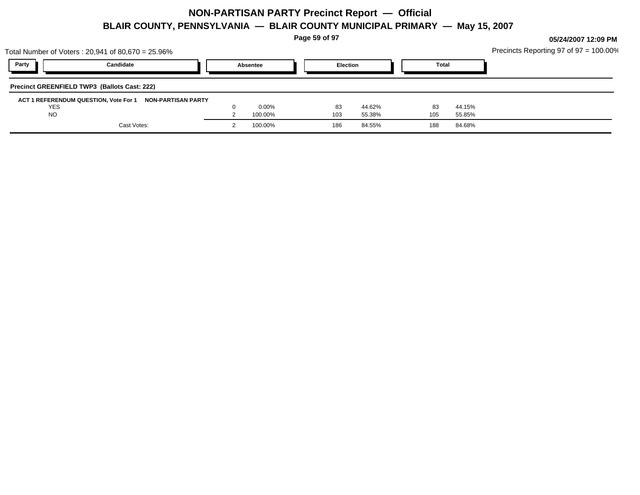**Page 59 of 97**

|            | Total Number of Voters: 20,941 of 80,670 = 25.96%           |          |         |     |                 |     |              | Precincts Reporting 97 of $97 = 100.00\%$ |
|------------|-------------------------------------------------------------|----------|---------|-----|-----------------|-----|--------------|-------------------------------------------|
| Party      | Candidate                                                   | Absentee |         |     | <b>Election</b> |     | <b>Total</b> |                                           |
|            | <b>Precinct GREENFIELD TWP3 (Ballots Cast: 222)</b>         |          |         |     |                 |     |              |                                           |
|            | ACT 1 REFERENDUM QUESTION, Vote For 1<br>NON-PARTISAN PARTY |          |         |     |                 |     |              |                                           |
| <b>YES</b> |                                                             |          | 0.00%   | 83  | 44.62%          | 83  | 44.15%       |                                           |
| <b>NO</b>  |                                                             |          | 100.00% | 103 | 55.38%          | 105 | 55.85%       |                                           |
|            | Cast Votes:                                                 |          | 100.00% | 186 | 84.55%          | 188 | 84.68%       |                                           |
|            |                                                             |          |         |     |                 |     |              |                                           |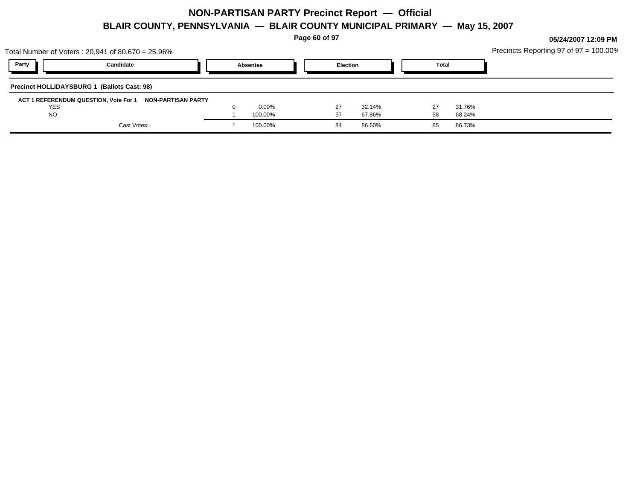**Page 60 of 97**

|            | Total Number of Voters: 20,941 of 80,670 = 25.96%        |          |          |     |                 |  |              |        | Precincts Reporting 97 of $97 = 100.00\%$ |
|------------|----------------------------------------------------------|----------|----------|-----|-----------------|--|--------------|--------|-------------------------------------------|
| Party      | Candidate                                                | Absentee |          |     | <b>Election</b> |  | <b>Total</b> |        |                                           |
|            | Precinct HOLLIDAYSBURG 1 (Ballots Cast: 98)              |          |          |     |                 |  |              |        |                                           |
|            | ACT 1 REFERENDUM QUESTION, Vote For 1 NON-PARTISAN PARTY |          |          |     |                 |  |              |        |                                           |
| <b>YES</b> |                                                          |          | $0.00\%$ | -27 | 32.14%          |  |              | 31.76% |                                           |
| <b>NO</b>  |                                                          |          | 100.00%  | 57  | 67.86%          |  | 58           | 68.24% |                                           |
|            | Cast Votes:                                              |          | 100.00%  | 84  | 86.60%          |  | 85           | 86.73% |                                           |
|            |                                                          |          |          |     |                 |  |              |        |                                           |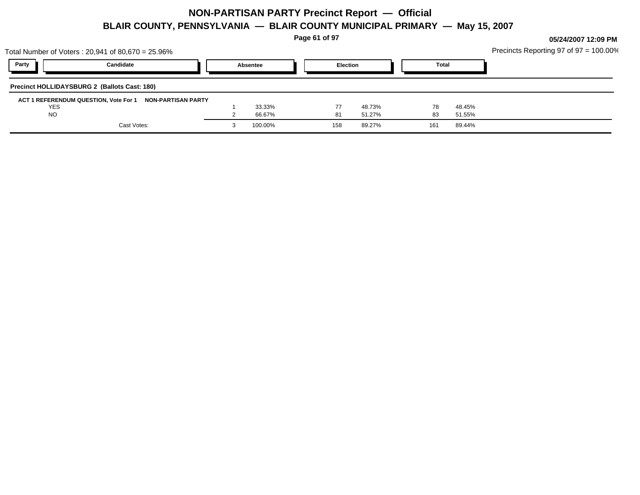**Page 61 of 97**

|            | Total Number of Voters: 20,941 of 80,670 = 25.96%        |          |     |                 |              |        | Precincts Reporting 97 of $97 = 100.00\%$ |
|------------|----------------------------------------------------------|----------|-----|-----------------|--------------|--------|-------------------------------------------|
| Party      | Candidate                                                | Absentee |     | <b>Election</b> | <b>Total</b> |        |                                           |
|            | <b>Precinct HOLLIDAYSBURG 2 (Ballots Cast: 180)</b>      |          |     |                 |              |        |                                           |
|            | ACT 1 REFERENDUM QUESTION, Vote For 1 NON-PARTISAN PARTY |          |     |                 |              |        |                                           |
| <b>YES</b> |                                                          | 33.33%   |     | 48.73%<br>77    | 78           | 48.45% |                                           |
| <b>NO</b>  |                                                          | 66.67%   |     | 51.27%<br>81    | 83           | 51.55% |                                           |
|            | Cast Votes:                                              | 100.00%  | 158 | 89.27%          | 161          | 89.44% |                                           |
|            |                                                          |          |     |                 |              |        |                                           |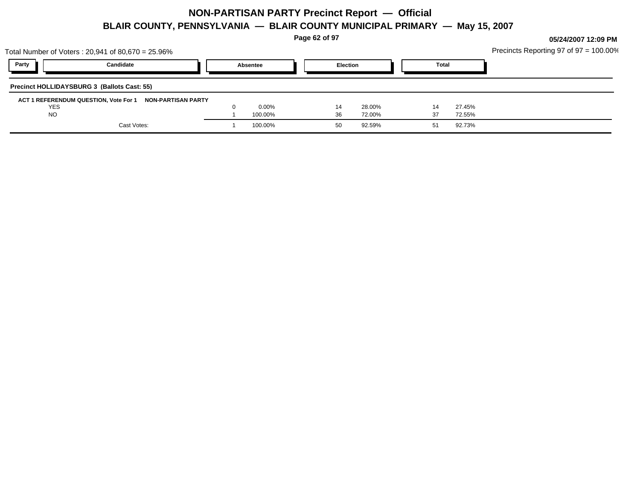**Page 62 of 97**

|            | Total Number of Voters: 20,941 of 80,670 = 25.96%        |          |                 |        |              |        | Precincts Reporting 97 of $97 = 100.00\%$ |
|------------|----------------------------------------------------------|----------|-----------------|--------|--------------|--------|-------------------------------------------|
| Party      | Candidate                                                | Absentee | <b>Election</b> |        | <b>Total</b> |        |                                           |
|            | Precinct HOLLIDAYSBURG 3 (Ballots Cast: 55)              |          |                 |        |              |        |                                           |
|            | ACT 1 REFERENDUM QUESTION, Vote For 1 NON-PARTISAN PARTY |          |                 |        |              |        |                                           |
| <b>YES</b> |                                                          | $0.00\%$ | 14              | 28.00% |              | 27.45% |                                           |
| <b>NO</b>  |                                                          | 100.00%  | 36              | 72.00% |              | 72.55% |                                           |
|            | Cast Votes:                                              | 100.00%  | 50              | 92.59% |              | 92.73% |                                           |
|            |                                                          |          |                 |        |              |        |                                           |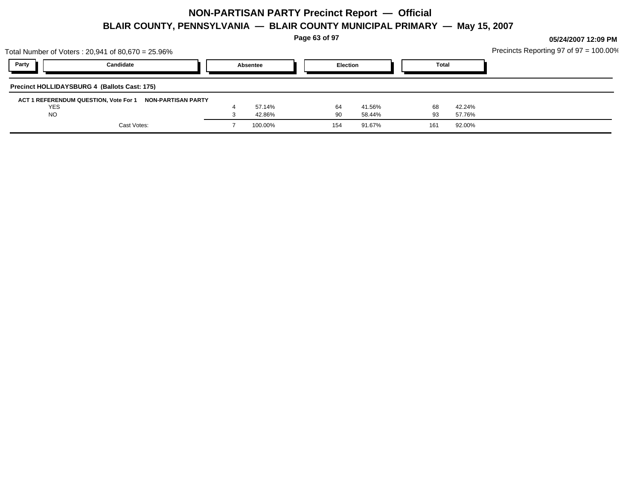**Page 63 of 97**

|            | Total Number of Voters: 20,941 of 80,670 = 25.96%        |          |                 |        |              |        | Precincts Reporting 97 of $97 = 100.00\%$ |
|------------|----------------------------------------------------------|----------|-----------------|--------|--------------|--------|-------------------------------------------|
| Party      | Candidate                                                | Absentee | <b>Election</b> |        | <b>Total</b> |        |                                           |
|            | Precinct HOLLIDAYSBURG 4 (Ballots Cast: 175)             |          |                 |        |              |        |                                           |
| <b>YES</b> | ACT 1 REFERENDUM QUESTION, Vote For 1 NON-PARTISAN PARTY | 57.14%   | 64              | 41.56% | 68           | 42.24% |                                           |
| <b>NO</b>  |                                                          | 42.86%   | -90             | 58.44% | 93           | 57.76% |                                           |
|            | Cast Votes:                                              | 100.00%  | 154             | 91.67% | 161          | 92.00% |                                           |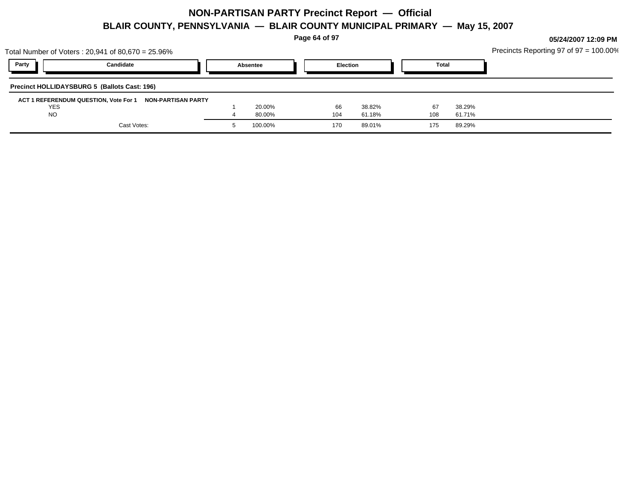**Page 64 of 97**

|            | Total Number of Voters: 20,941 of 80,670 = 25.96%        |          |     |                 |              |        | Precincts Reporting 97 of $97 = 100.00\%$ |
|------------|----------------------------------------------------------|----------|-----|-----------------|--------------|--------|-------------------------------------------|
| Party      | Candidate                                                | Absentee |     | <b>Election</b> | <b>Total</b> |        |                                           |
|            | Precinct HOLLIDAYSBURG 5 (Ballots Cast: 196)             |          |     |                 |              |        |                                           |
|            | ACT 1 REFERENDUM QUESTION, Vote For 1 NON-PARTISAN PARTY |          |     |                 |              |        |                                           |
| <b>YES</b> |                                                          | 20.00%   | 66  | 38.82%          | 67           | 38.29% |                                           |
| <b>NO</b>  |                                                          | 80.00%   | 104 | 61.18%          | 108          | 61.71% |                                           |
|            | Cast Votes:                                              | 100.00%  | 170 | 89.01%          | 175          | 89.29% |                                           |
|            |                                                          |          |     |                 |              |        |                                           |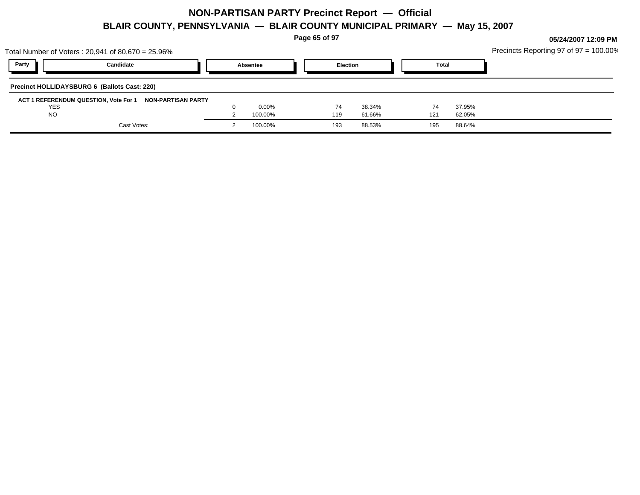**Page 65 of 97**

|           | Total Number of Voters : 20,941 of 80,670 = 25.96%       |          |     |                 |              |        | Precincts Reporting 97 of 97 = 100.00% |
|-----------|----------------------------------------------------------|----------|-----|-----------------|--------------|--------|----------------------------------------|
| Party     | Candidate                                                | Absentee |     | <b>Election</b> | <b>Total</b> |        |                                        |
|           | Precinct HOLLIDAYSBURG 6 (Ballots Cast: 220)             |          |     |                 |              |        |                                        |
|           | ACT 1 REFERENDUM QUESTION, Vote For 1 NON-PARTISAN PARTY |          |     |                 |              |        |                                        |
| YES       |                                                          | $0.00\%$ | 74  | 38.34%          | 74           | 37.95% |                                        |
| <b>NO</b> |                                                          | 100.00%  | 119 | 61.66%          | 121          | 62.05% |                                        |
|           | Cast Votes:                                              | 100.00%  | 193 | 88.53%          | 195          | 88.64% |                                        |
|           |                                                          |          |     |                 |              |        |                                        |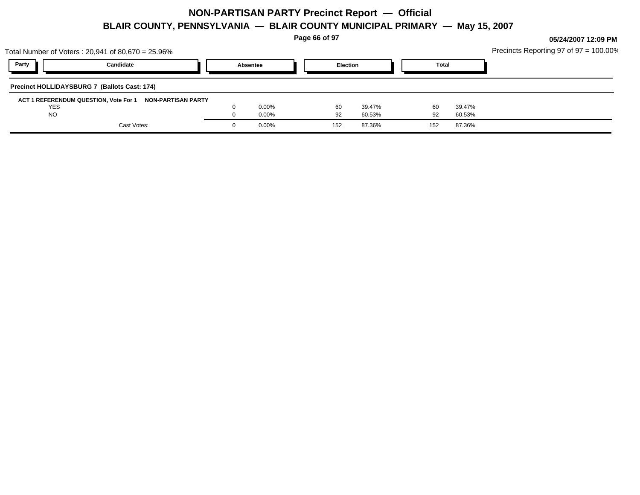**Page 66 of 97**

| Total Number of Voters: 20,941 of 80,670 = 25.96% |                                                          |          |     |                 |              |        | Precincts Reporting 97 of $97 = 100.00\%$ |
|---------------------------------------------------|----------------------------------------------------------|----------|-----|-----------------|--------------|--------|-------------------------------------------|
| Party                                             | Candidate                                                | Absentee |     | <b>Election</b> | <b>Total</b> |        |                                           |
| Precinct HOLLIDAYSBURG 7 (Ballots Cast: 174)      |                                                          |          |     |                 |              |        |                                           |
|                                                   | ACT 1 REFERENDUM QUESTION, Vote For 1 NON-PARTISAN PARTY |          |     |                 |              |        |                                           |
| <b>YES</b>                                        |                                                          | $0.00\%$ | 60  | 39.47%          | 60           | 39.47% |                                           |
| <b>NO</b>                                         |                                                          | 0.00%    | 92  | 60.53%          | 92           | 60.53% |                                           |
|                                                   | Cast Votes:                                              | 0.00%    | 152 | 87.36%          | 152          | 87.36% |                                           |
|                                                   |                                                          |          |     |                 |              |        |                                           |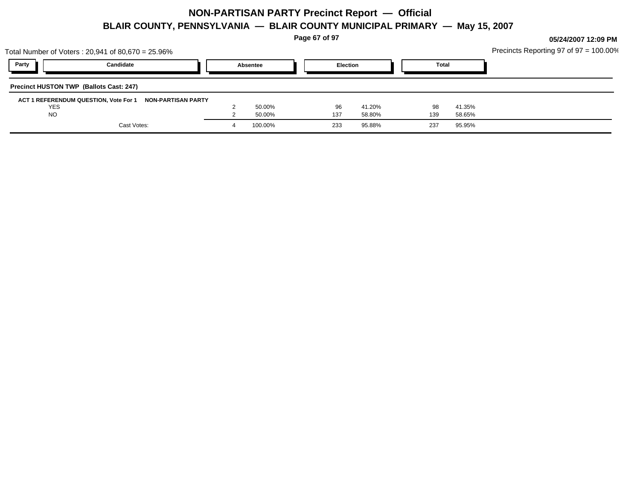**Page 67 of 97**

|            | Total Number of Voters: 20,941 of 80,670 = 25.96%        |          |                 |        |              |        | Precincts Reporting 97 of $97 = 100.00\%$ |
|------------|----------------------------------------------------------|----------|-----------------|--------|--------------|--------|-------------------------------------------|
| Party      | Candidate                                                | Absentee | <b>Election</b> |        | <b>Total</b> |        |                                           |
|            | <b>Precinct HUSTON TWP (Ballots Cast: 247)</b>           |          |                 |        |              |        |                                           |
|            | ACT 1 REFERENDUM QUESTION, Vote For 1 NON-PARTISAN PARTY |          |                 |        |              |        |                                           |
| <b>YES</b> |                                                          | 50.00%   | 96              | 41.20% | 98           | 41.35% |                                           |
| <b>NO</b>  |                                                          | 50.00%   | 137             | 58.80% | 139          | 58.65% |                                           |
|            | Cast Votes:                                              | 100.00%  | 233             | 95.88% | 237          | 95.95% |                                           |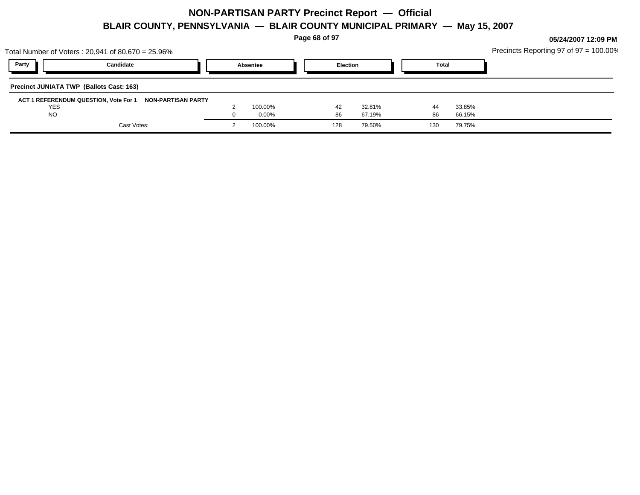**Page 68 of 97**

|                                                 | Total Number of Voters : 20,941 of 80,670 = 25.96%       |          |                 |        |              |        | Precincts Reporting 97 of $97 = 100.00\%$ |
|-------------------------------------------------|----------------------------------------------------------|----------|-----------------|--------|--------------|--------|-------------------------------------------|
| Party                                           | Candidate                                                | Absentee | <b>Election</b> |        | <b>Total</b> |        |                                           |
| <b>Precinct JUNIATA TWP (Ballots Cast: 163)</b> |                                                          |          |                 |        |              |        |                                           |
|                                                 | ACT 1 REFERENDUM QUESTION, Vote For 1 NON-PARTISAN PARTY |          |                 |        |              |        |                                           |
| <b>YES</b>                                      |                                                          | 100.00%  | 42              | 32.81% | 44           | 33.85% |                                           |
| <b>NO</b>                                       |                                                          | 0.00%    | 86              | 67.19% | 86           | 66.15% |                                           |
|                                                 | Cast Votes:                                              | 100.00%  | 128             | 79.50% | 130          | 79.75% |                                           |
|                                                 |                                                          |          |                 |        |              |        |                                           |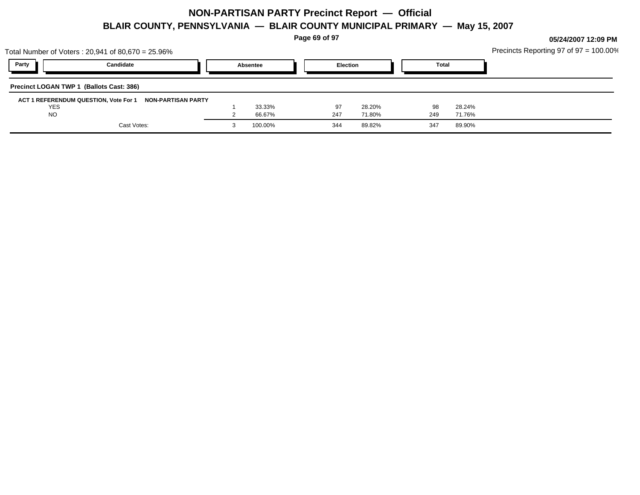**Page 69 of 97**

|            | Total Number of Voters: 20,941 of 80,670 = 25.96%        |          |     |                 |              |        | Precincts Reporting 97 of $97 = 100.00\%$ |
|------------|----------------------------------------------------------|----------|-----|-----------------|--------------|--------|-------------------------------------------|
| Party      | Candidate                                                | Absentee |     | <b>Election</b> | <b>Total</b> |        |                                           |
|            | Precinct LOGAN TWP 1 (Ballots Cast: 386)                 |          |     |                 |              |        |                                           |
|            | ACT 1 REFERENDUM QUESTION, Vote For 1 NON-PARTISAN PARTY |          |     |                 |              |        |                                           |
| <b>YES</b> |                                                          | 33.33%   | 97  | 28.20%          | 98           | 28.24% |                                           |
| <b>NO</b>  |                                                          | 66.67%   | 247 | 71.80%          | 249          | 71.76% |                                           |
|            | Cast Votes:                                              | 100.00%  | 344 | 89.82%          | 347          | 89.90% |                                           |
|            |                                                          |          |     |                 |              |        |                                           |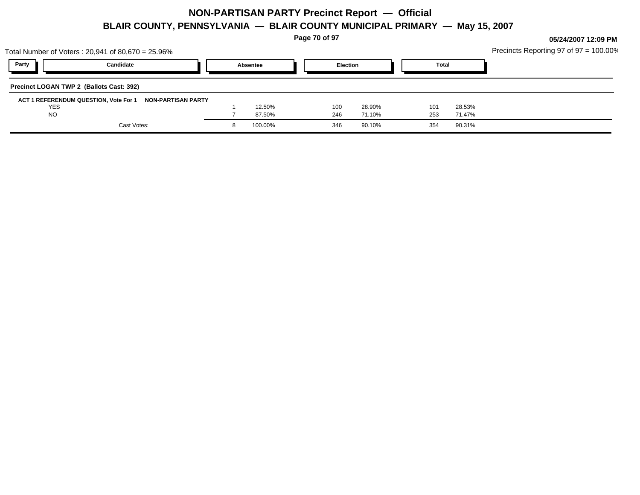**Page 70 of 97**

| Party<br><b>Election</b><br>Candidate<br><b>Total</b><br>Absentee<br>Precinct LOGAN TWP 2 (Ballots Cast: 392)<br>ACT 1 REFERENDUM QUESTION, Vote For 1 NON-PARTISAN PARTY<br>12.50%<br>100<br>28.53%<br><b>YES</b><br>101<br>28.90%<br><b>NO</b><br>87.50%<br>253<br>71.10%<br>71.47%<br>246<br>Cast Votes:<br>100.00%<br>90.31%<br>90.10%<br>354<br>346 | Total Number of Voters: 20,941 of 80,670 = 25.96% |  |  |  |  | Precincts Reporting 97 of $97 = 100.00\%$ |
|----------------------------------------------------------------------------------------------------------------------------------------------------------------------------------------------------------------------------------------------------------------------------------------------------------------------------------------------------------|---------------------------------------------------|--|--|--|--|-------------------------------------------|
|                                                                                                                                                                                                                                                                                                                                                          |                                                   |  |  |  |  |                                           |
|                                                                                                                                                                                                                                                                                                                                                          |                                                   |  |  |  |  |                                           |
|                                                                                                                                                                                                                                                                                                                                                          |                                                   |  |  |  |  |                                           |
|                                                                                                                                                                                                                                                                                                                                                          |                                                   |  |  |  |  |                                           |
|                                                                                                                                                                                                                                                                                                                                                          |                                                   |  |  |  |  |                                           |
|                                                                                                                                                                                                                                                                                                                                                          |                                                   |  |  |  |  |                                           |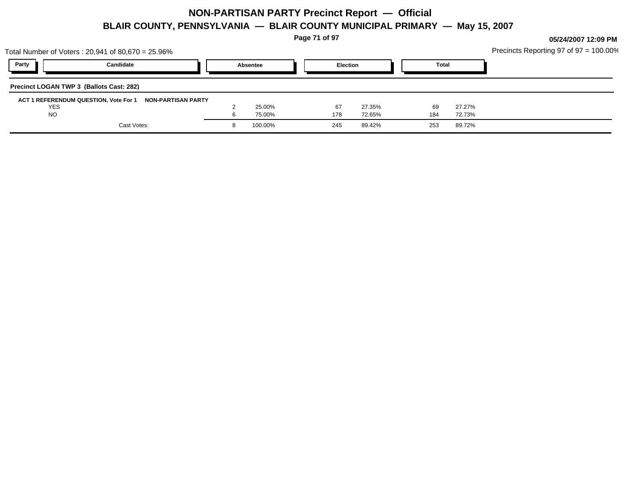**Page 71 of 97**

|                                          | Total Number of Voters: 20,941 of 80,670 = 25.96%        |          |                 |        |              |        | Precincts Reporting 97 of $97 = 100.00\%$ |
|------------------------------------------|----------------------------------------------------------|----------|-----------------|--------|--------------|--------|-------------------------------------------|
| Party                                    | Candidate                                                | Absentee | <b>Election</b> |        | <b>Total</b> |        |                                           |
| Precinct LOGAN TWP 3 (Ballots Cast: 282) |                                                          |          |                 |        |              |        |                                           |
| <b>YES</b>                               | ACT 1 REFERENDUM QUESTION, Vote For 1 NON-PARTISAN PARTY | 25.00%   | 67              | 27.35% | 69           | 27.27% |                                           |
| <b>NO</b>                                |                                                          | 75.00%   | 178             | 72.65% | 184          | 72.73% |                                           |
|                                          | Cast Votes:                                              | 100.00%  | 245             | 89.42% | 253          | 89.72% |                                           |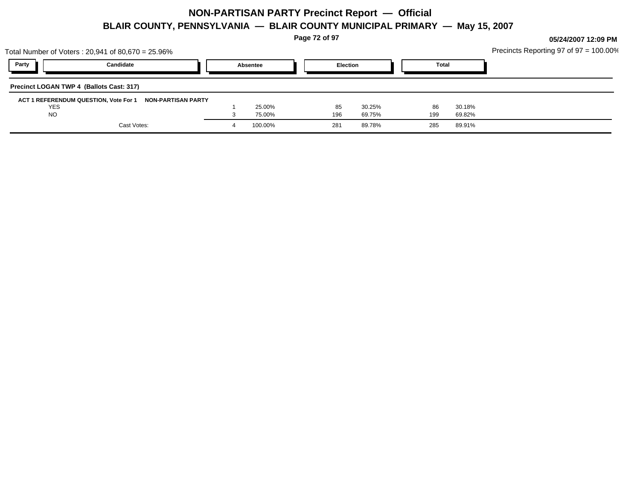**Page 72 of 97**

|            | Total Number of Voters: 20,941 of 80,670 = 25.96%        |          |     |                 |              |        | Precincts Reporting 97 of $97 = 100.00\%$ |
|------------|----------------------------------------------------------|----------|-----|-----------------|--------------|--------|-------------------------------------------|
| Party      | Candidate                                                | Absentee |     | <b>Election</b> | <b>Total</b> |        |                                           |
|            | Precinct LOGAN TWP 4 (Ballots Cast: 317)                 |          |     |                 |              |        |                                           |
|            | ACT 1 REFERENDUM QUESTION, Vote For 1 NON-PARTISAN PARTY |          |     |                 |              |        |                                           |
| <b>YES</b> |                                                          | 25.00%   | 85  | 30.25%          | 86           | 30.18% |                                           |
| <b>NO</b>  |                                                          | 75.00%   | 196 | 69.75%          | 199          | 69.82% |                                           |
|            | Cast Votes:                                              | 100.00%  | 281 | 89.78%          | 285          | 89.91% |                                           |
|            |                                                          |          |     |                 |              |        |                                           |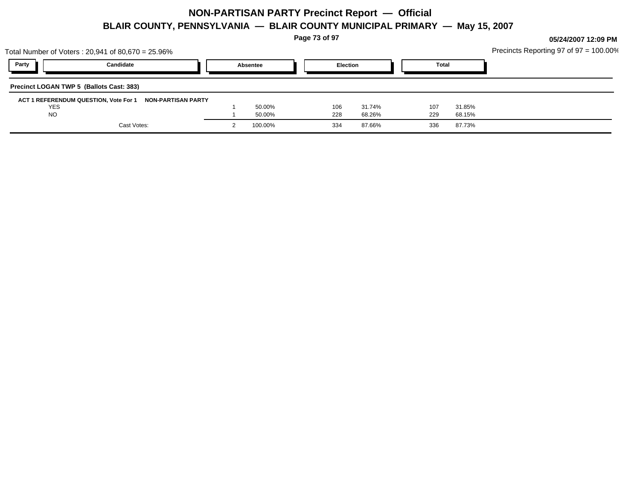**Page 73 of 97**

| Total Number of Voters : 20,941 of 80,670 = 25.96%       |          |                 |        |              |        | Precincts Reporting 97 of 97 = 100.00% |
|----------------------------------------------------------|----------|-----------------|--------|--------------|--------|----------------------------------------|
| Party<br>Candidate                                       | Absentee | <b>Election</b> |        | <b>Total</b> |        |                                        |
| Precinct LOGAN TWP 5 (Ballots Cast: 383)                 |          |                 |        |              |        |                                        |
| ACT 1 REFERENDUM QUESTION, Vote For 1 NON-PARTISAN PARTY |          |                 |        |              |        |                                        |
| YES                                                      | 50.00%   | 106             | 31.74% | 107          | 31.85% |                                        |
| <b>NO</b>                                                | 50.00%   | 228             | 68.26% | 229          | 68.15% |                                        |
| Cast Votes:                                              | 100.00%  | 334             | 87.66% | 336          | 87.73% |                                        |
|                                                          |          |                 |        |              |        |                                        |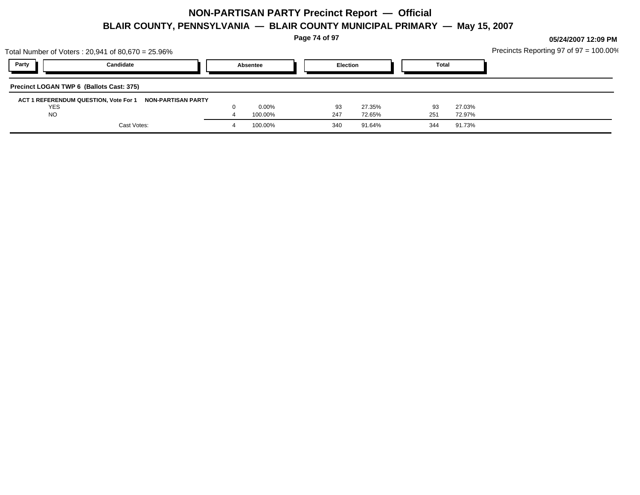**Page 74 of 97**

**05/24/2007 12:09 PM**

Precincts Reporting 97 of 97 = 100.00%

| Total Number of Voters : 20,941 of 80,670 = 25.96%          |          |     |                 |       |        | Precincts Reporting 97 of $97 = 100.00$ |
|-------------------------------------------------------------|----------|-----|-----------------|-------|--------|-----------------------------------------|
| Party<br>Candidate                                          | Absentee |     | <b>Election</b> | Total |        |                                         |
| Precinct LOGAN TWP 6 (Ballots Cast: 375)                    |          |     |                 |       |        |                                         |
| ACT 1 REFERENDUM QUESTION, Vote For 1<br>NON-PARTISAN PARTY |          |     |                 |       |        |                                         |
| <b>YES</b>                                                  | $0.00\%$ |     | 93<br>27.35%    | 93    | 27.03% |                                         |
| <b>NO</b>                                                   | 100.00%  | 247 | 72.65%          | 251   | 72.97% |                                         |
| Cast Votes:                                                 | 100.00%  | 340 | 91.64%          | 344   | 91.73% |                                         |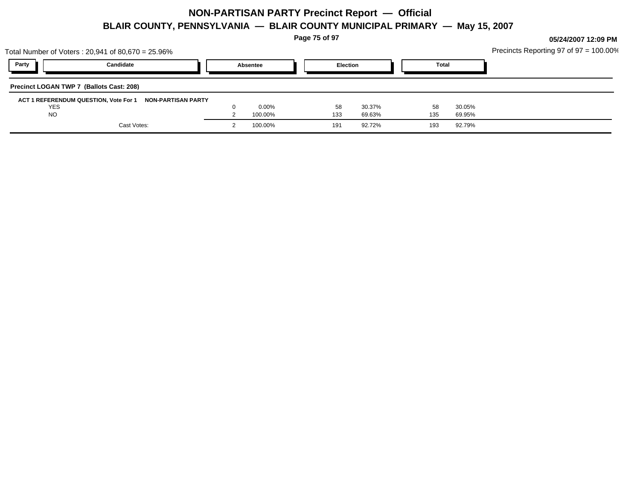**Page 75 of 97**

|            | Total Number of Voters: 20,941 of 80,670 = 25.96%        |          |     |                 |     |              | Precincts Reporting 97 of $97 = 100.00\%$ |
|------------|----------------------------------------------------------|----------|-----|-----------------|-----|--------------|-------------------------------------------|
| Party      | Candidate                                                | Absentee |     | <b>Election</b> |     | <b>Total</b> |                                           |
|            | Precinct LOGAN TWP 7 (Ballots Cast: 208)                 |          |     |                 |     |              |                                           |
|            | ACT 1 REFERENDUM QUESTION, Vote For 1 NON-PARTISAN PARTY |          |     |                 |     |              |                                           |
| <b>YES</b> |                                                          | $0.00\%$ | 58  | 30.37%          | 58  | 30.05%       |                                           |
| <b>NO</b>  |                                                          | 100.00%  | 133 | 69.63%          | 135 | 69.95%       |                                           |
|            | Cast Votes:                                              | 100.00%  | 191 | 92.72%          | 193 | 92.79%       |                                           |
|            |                                                          |          |     |                 |     |              |                                           |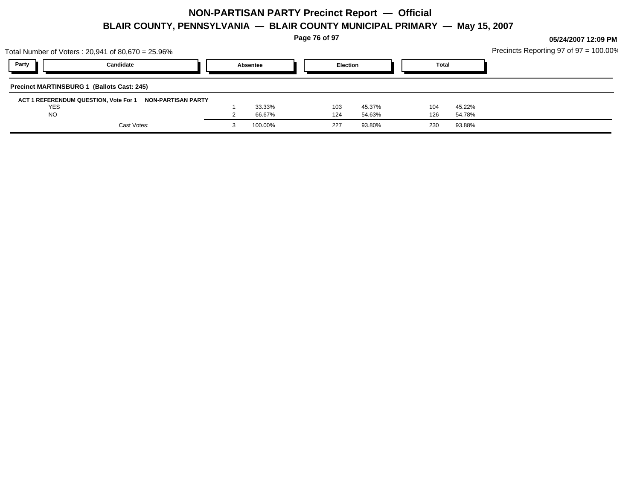**Page 76 of 97**

|            | Total Number of Voters : 20,941 of 80,670 = 25.96%       |          |     |                 |              |        | Precincts Reporting 97 of 97 = 100.00% |
|------------|----------------------------------------------------------|----------|-----|-----------------|--------------|--------|----------------------------------------|
| Party      | Candidate                                                | Absentee |     | <b>Election</b> | <b>Total</b> |        |                                        |
|            | <b>Precinct MARTINSBURG 1 (Ballots Cast: 245)</b>        |          |     |                 |              |        |                                        |
|            | ACT 1 REFERENDUM QUESTION, Vote For 1 NON-PARTISAN PARTY |          |     |                 |              |        |                                        |
| <b>YES</b> |                                                          | 33.33%   | 103 | 45.37%          | 104          | 45.22% |                                        |
| <b>NO</b>  |                                                          | 66.67%   | 124 | 54.63%          | 126          | 54.78% |                                        |
|            | Cast Votes:                                              | 100.00%  | 227 | 93.80%          | 230          | 93.88% |                                        |
|            |                                                          |          |     |                 |              |        |                                        |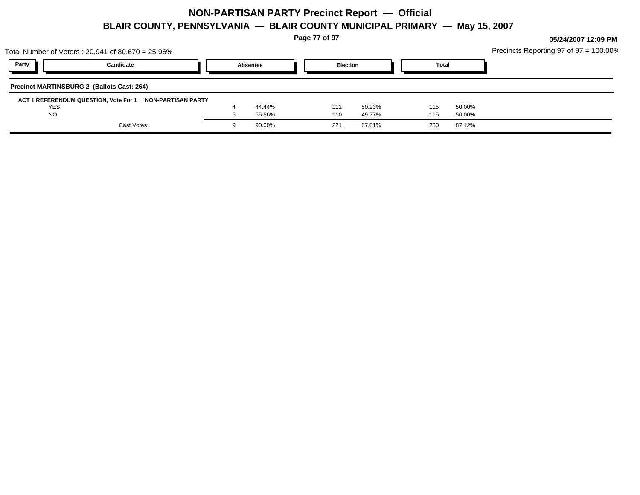**Page 77 of 97**

|            | Total Number of Voters : 20,941 of 80,670 = 25.96%       |          |                 |        |     |              | Precincts Reporting 97 of $97 = 100.00\%$ |
|------------|----------------------------------------------------------|----------|-----------------|--------|-----|--------------|-------------------------------------------|
| Party      | Candidate                                                | Absentee | <b>Election</b> |        |     | <b>Total</b> |                                           |
|            | <b>Precinct MARTINSBURG 2 (Ballots Cast: 264)</b>        |          |                 |        |     |              |                                           |
|            | ACT 1 REFERENDUM QUESTION, Vote For 1 NON-PARTISAN PARTY |          |                 |        |     |              |                                           |
| <b>YES</b> |                                                          | 44.44%   | 111             | 50.23% | 115 | 50.00%       |                                           |
| <b>NO</b>  |                                                          | 55.56%   | 110             | 49.77% | 115 | 50.00%       |                                           |
|            | Cast Votes:                                              | 90.00%   | 221             | 87.01% | 230 | 87.12%       |                                           |
|            |                                                          |          |                 |        |     |              |                                           |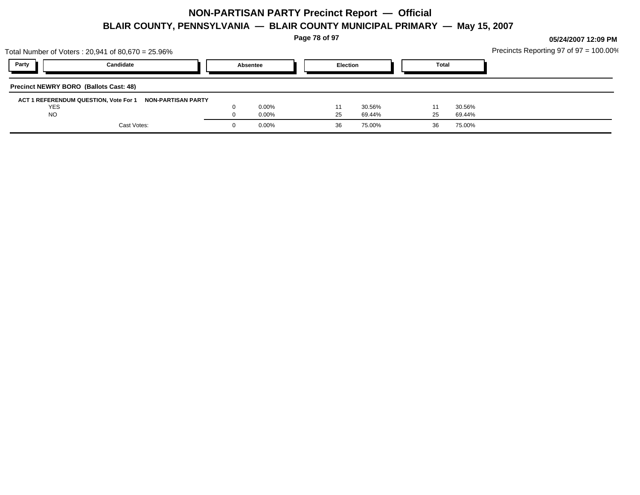**Page 78 of 97**

| Party<br><b>Election</b><br>Candidate<br><b>Total</b><br>Absentee | Precincts Reporting 97 of $97 = 100.00\%$ |
|-------------------------------------------------------------------|-------------------------------------------|
|                                                                   |                                           |
| <b>Precinct NEWRY BORO (Ballots Cast: 48)</b>                     |                                           |
| ACT 1 REFERENDUM QUESTION, Vote For 1 NON-PARTISAN PARTY          |                                           |
| $0.00\%$<br>30.56%<br><b>YES</b><br>30.56%                        |                                           |
| <b>NO</b><br>$0.00\%$<br>69.44%<br>69.44%<br>25<br>25             |                                           |
| Cast Votes:<br>$0.00\%$<br>75.00%<br>75.00%<br>-36<br>36          |                                           |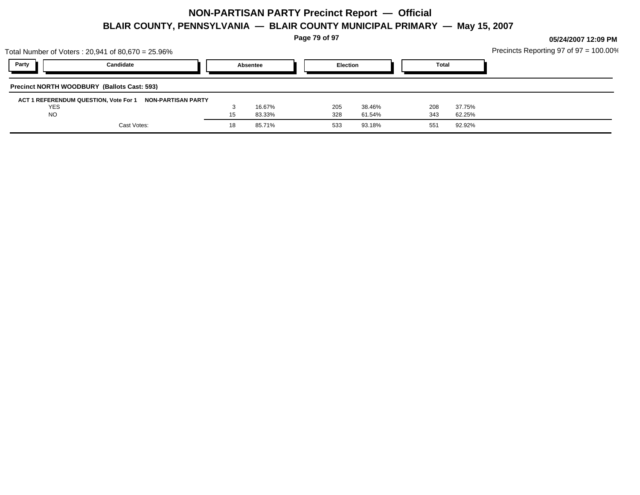**Page 79 of 97**

| Party<br>Candidate<br><b>Election</b><br><b>Total</b><br>Absentee<br><b>Precinct NORTH WOODBURY (Ballots Cast: 593)</b><br>ACT 1 REFERENDUM QUESTION, Vote For 1 NON-PARTISAN PARTY<br>YES<br>16.67%<br>37.75%<br>205<br>38.46%<br>208<br><b>NO</b><br>15<br>328<br>83.33%<br>343<br>61.54%<br>62.25%<br>Cast Votes:<br>93.18%<br>92.92%<br>18<br>85.71%<br>533<br>551 | Total Number of Voters : 20,941 of 80,670 = 25.96% |  |  |  | Precincts Reporting 97 of 97 = 100.00% |
|------------------------------------------------------------------------------------------------------------------------------------------------------------------------------------------------------------------------------------------------------------------------------------------------------------------------------------------------------------------------|----------------------------------------------------|--|--|--|----------------------------------------|
|                                                                                                                                                                                                                                                                                                                                                                        |                                                    |  |  |  |                                        |
|                                                                                                                                                                                                                                                                                                                                                                        |                                                    |  |  |  |                                        |
|                                                                                                                                                                                                                                                                                                                                                                        |                                                    |  |  |  |                                        |
|                                                                                                                                                                                                                                                                                                                                                                        |                                                    |  |  |  |                                        |
|                                                                                                                                                                                                                                                                                                                                                                        |                                                    |  |  |  |                                        |
|                                                                                                                                                                                                                                                                                                                                                                        |                                                    |  |  |  |                                        |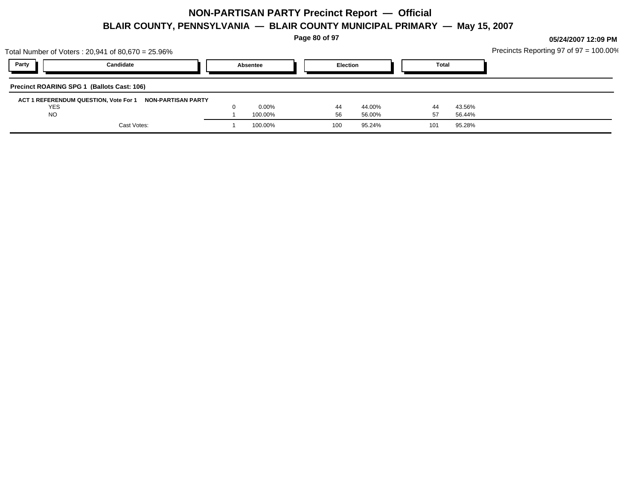**Page 80 of 97**

|            | Total Number of Voters: 20,941 of 80,670 = 25.96%        |          |                 |              |        | Precincts Reporting 97 of $97 = 100.00\%$ |
|------------|----------------------------------------------------------|----------|-----------------|--------------|--------|-------------------------------------------|
| Party      | Candidate                                                | Absentee | <b>Election</b> | <b>Total</b> |        |                                           |
|            | Precinct ROARING SPG 1 (Ballots Cast: 106)               |          |                 |              |        |                                           |
|            | ACT 1 REFERENDUM QUESTION, Vote For 1 NON-PARTISAN PARTY |          |                 |              |        |                                           |
| <b>YES</b> |                                                          | $0.00\%$ | 44.00%<br>44    | 44           | 43.56% |                                           |
| <b>NO</b>  |                                                          | 100.00%  | 56.00%<br>56    | 57           | 56.44% |                                           |
|            | Cast Votes:                                              | 100.00%  | 95.24%<br>100   | 101          | 95.28% |                                           |
|            |                                                          |          |                 |              |        |                                           |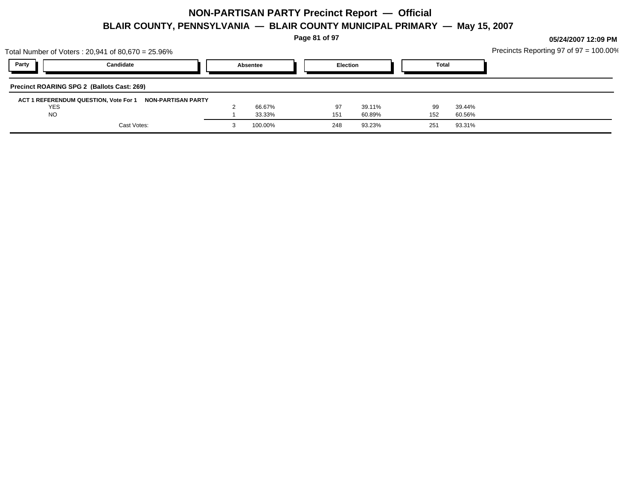**Page 81 of 97**

|            | Total Number of Voters : 20,941 of 80,670 = 25.96%       |          |     |                 |              |        | Precincts Reporting 97 of $97 = 100.00\%$ |
|------------|----------------------------------------------------------|----------|-----|-----------------|--------------|--------|-------------------------------------------|
| Party      | Candidate                                                | Absentee |     | <b>Election</b> | <b>Total</b> |        |                                           |
|            | Precinct ROARING SPG 2 (Ballots Cast: 269)               |          |     |                 |              |        |                                           |
|            | ACT 1 REFERENDUM QUESTION, Vote For 1 NON-PARTISAN PARTY |          |     |                 |              |        |                                           |
| <b>YES</b> |                                                          | 66.67%   | 97  | 39.11%          | 99           | 39.44% |                                           |
| <b>NO</b>  |                                                          | 33.33%   | 151 | 60.89%          | 152          | 60.56% |                                           |
|            | Cast Votes:                                              | 100.00%  | 248 | 93.23%          | 251          | 93.31% |                                           |
|            |                                                          |          |     |                 |              |        |                                           |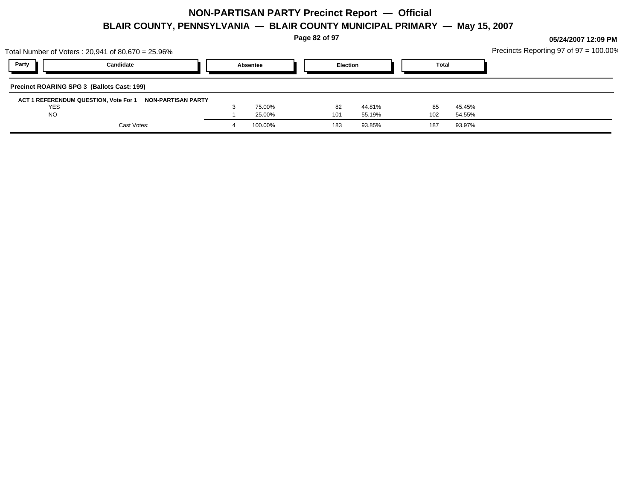**Page 82 of 97**

|            | Total Number of Voters : 20,941 of 80,670 = 25.96%       |          |                 |        |              |        | Precincts Reporting 97 of $97 = 100.00\%$ |
|------------|----------------------------------------------------------|----------|-----------------|--------|--------------|--------|-------------------------------------------|
| Party      | Candidate                                                | Absentee | <b>Election</b> |        | <b>Total</b> |        |                                           |
|            | Precinct ROARING SPG 3 (Ballots Cast: 199)               |          |                 |        |              |        |                                           |
|            | ACT 1 REFERENDUM QUESTION, Vote For 1 NON-PARTISAN PARTY |          |                 |        |              |        |                                           |
| <b>YES</b> |                                                          | 75.00%   | 82              | 44.81% | 85           | 45.45% |                                           |
| <b>NO</b>  |                                                          | 25.00%   | 101             | 55.19% | 102          | 54.55% |                                           |
|            | Cast Votes:                                              | 100.00%  | 183             | 93.85% | 187          | 93.97% |                                           |
|            |                                                          |          |                 |        |              |        |                                           |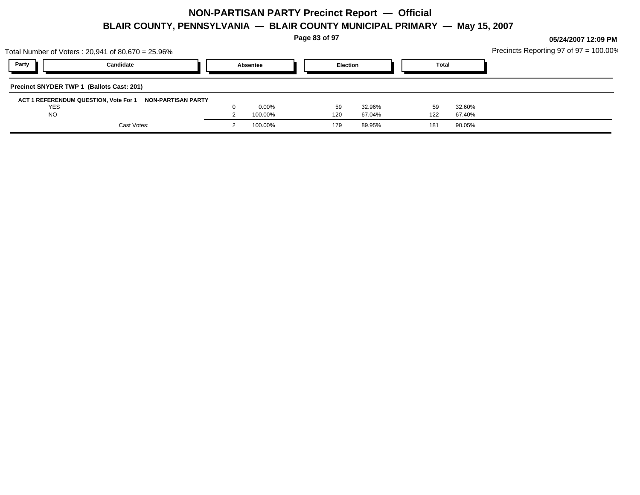**Page 83 of 97**

| Party<br><b>Election</b><br>Candidate<br><b>Total</b><br>Absentee |
|-------------------------------------------------------------------|
|                                                                   |
| Precinct SNYDER TWP 1 (Ballots Cast: 201)                         |
| ACT 1 REFERENDUM QUESTION, Vote For 1 NON-PARTISAN PARTY          |
| $0.00\%$<br><b>YES</b><br>59<br>32.60%<br>32.96%<br>59            |
| <b>NO</b><br>100.00%<br>120<br>67.04%<br>122<br>67.40%            |
|                                                                   |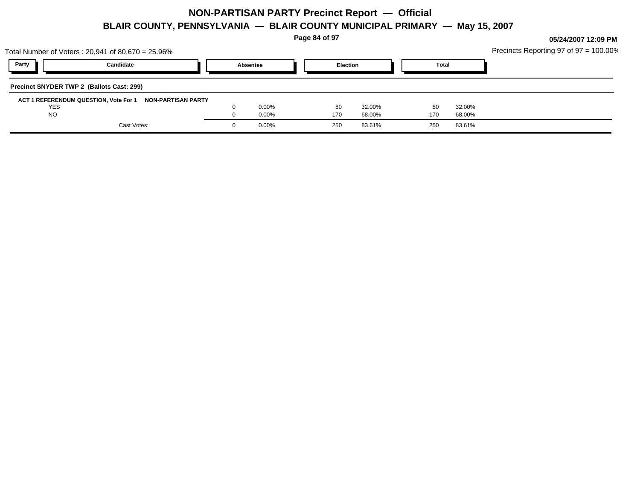**Page 84 of 97**

|            | Total Number of Voters: 20,941 of 80,670 = 25.96%        |          |            |                 |              |        | Precincts Reporting 97 of $97 = 100.00\%$ |
|------------|----------------------------------------------------------|----------|------------|-----------------|--------------|--------|-------------------------------------------|
| Party      | Candidate                                                | Absentee |            | <b>Election</b> | <b>Total</b> |        |                                           |
|            | <b>Precinct SNYDER TWP 2 (Ballots Cast: 299)</b>         |          |            |                 |              |        |                                           |
|            | ACT 1 REFERENDUM QUESTION, Vote For 1 NON-PARTISAN PARTY |          |            |                 |              |        |                                           |
| <b>YES</b> |                                                          | $0.00\%$ | 80         | 32.00%          | 80           | 32.00% |                                           |
| <b>NO</b>  |                                                          | $0.00\%$ | 170        | 68.00%          | 170          | 68.00% |                                           |
|            | Cast Votes:                                              | $0.00\%$ | <b>250</b> | 83.61%          | 250          | 83.61% |                                           |
|            |                                                          |          |            |                 |              |        |                                           |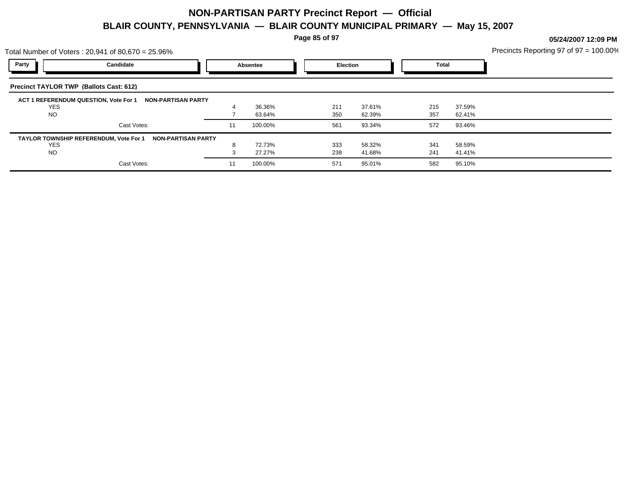**Page 85 of 97**

**05/24/2007 12:09 PM**

Precincts Reporting 97 of 97 = 100.00%

| Candidate<br>Precinct TAYLOR TWP (Ballots Cast: 612)               |    | Absentee                  | Election |        | <b>Total</b> |        |  |
|--------------------------------------------------------------------|----|---------------------------|----------|--------|--------------|--------|--|
|                                                                    |    |                           |          |        |              |        |  |
|                                                                    |    |                           |          |        |              |        |  |
| ACT 1 REFERENDUM QUESTION, Vote For 1<br><b>NON-PARTISAN PARTY</b> |    |                           |          |        |              |        |  |
|                                                                    |    | 36.36%                    | 211      | 37.61% | 215          | 37.59% |  |
|                                                                    |    | 63.64%                    | 350      | 62.39% | 357          | 62.41% |  |
| Cast Votes:                                                        | 11 | 100.00%                   | 561      | 93.34% | 572          | 93.46% |  |
| TAYLOR TOWNSHIP REFERENDUM, Vote For 1                             |    |                           |          |        |              |        |  |
|                                                                    | 8  | 72.73%                    | 333      | 58.32% | 341          | 58.59% |  |
|                                                                    |    | 27.27%                    | 238      | 41.68% | 241          | 41.41% |  |
| Cast Votes:                                                        | 11 | 100.00%                   | 571      | 95.01% | 582          | 95.10% |  |
|                                                                    |    | <b>NON-PARTISAN PARTY</b> |          |        |              |        |  |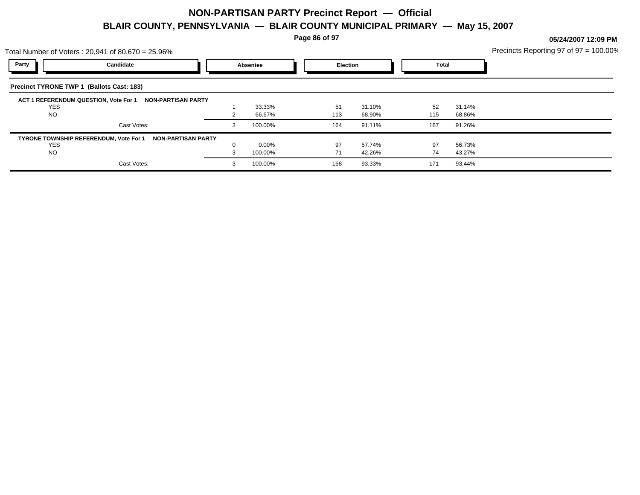**Page 86 of 97**

| Precincts Reporting 97 of $97 = 100.00\%$ |
|-------------------------------------------|
|-------------------------------------------|

| Total Number of Voters: $20,941$ of $80,670 = 25.96\%$       |          |          |                 |        |       |        | Precincts Reporting 97 of 97 = 100.009 |
|--------------------------------------------------------------|----------|----------|-----------------|--------|-------|--------|----------------------------------------|
| Party<br>Candidate                                           |          | Absentee | <b>Election</b> |        | Total |        |                                        |
| <b>Precinct TYRONE TWP 1 (Ballots Cast: 183)</b>             |          |          |                 |        |       |        |                                        |
| ACT 1 REFERENDUM QUESTION, Vote For 1<br>NON-PARTISAN PARTY  |          |          |                 |        |       |        |                                        |
| <b>YES</b>                                                   |          | 33.33%   | 51              | 31.10% | 52    | 31.14% |                                        |
| <b>NO</b>                                                    |          | 66.67%   | 113             | 68.90% | 115   | 68.86% |                                        |
| Cast Votes:                                                  | 3        | 100.00%  | 164             | 91.11% | 167   | 91.26% |                                        |
| TYRONE TOWNSHIP REFERENDUM, Vote For 1<br>NON-PARTISAN PARTY |          |          |                 |        |       |        |                                        |
| <b>YES</b>                                                   | $\Omega$ | $0.00\%$ | 97              | 57.74% | 97    | 56.73% |                                        |
| <b>NO</b>                                                    |          | 100.00%  | 71              | 42.26% | 74    | 43.27% |                                        |
| Cast Votes:                                                  | 3        | 100.00%  | 168             | 93.33% | 171   | 93.44% |                                        |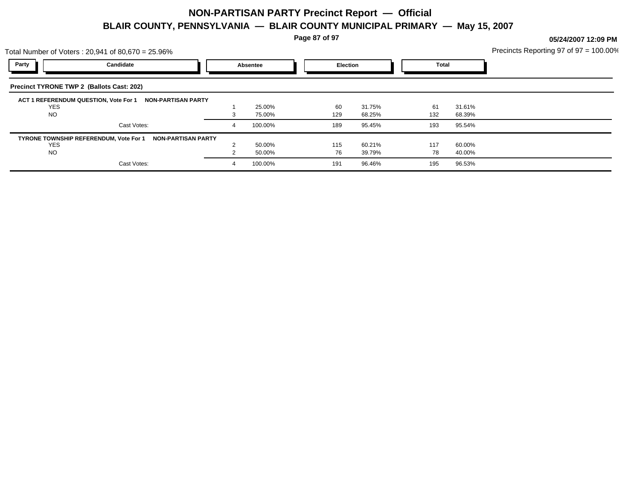**Page 87 of 97**

| Precincts Reporting 97 of $97 = 100.00\%$ |
|-------------------------------------------|
|-------------------------------------------|

|                                                  | Total Number of Voters: $20,941$ of $80,670 = 25.96\%$              |   |          |          |        |              |        | Precincts Reporting 97 of 97 = 100.00 |
|--------------------------------------------------|---------------------------------------------------------------------|---|----------|----------|--------|--------------|--------|---------------------------------------|
| Party                                            | Candidate                                                           |   | Absentee | Election |        | <b>Total</b> |        |                                       |
| <b>Precinct TYRONE TWP 2 (Ballots Cast: 202)</b> |                                                                     |   |          |          |        |              |        |                                       |
| <b>YES</b>                                       | ACT 1 REFERENDUM QUESTION, Vote For 1<br><b>NON-PARTISAN PARTY</b>  |   | 25.00%   | 60       | 31.75% | 61           | 31.61% |                                       |
| <b>NO</b>                                        |                                                                     | 3 | 75.00%   | 129      | 68.25% | 132          | 68.39% |                                       |
|                                                  | Cast Votes:                                                         | 4 | 100.00%  | 189      | 95.45% | 193          | 95.54% |                                       |
|                                                  | TYRONE TOWNSHIP REFERENDUM, Vote For 1<br><b>NON-PARTISAN PARTY</b> |   |          |          |        |              |        |                                       |
| <b>YES</b>                                       |                                                                     |   | 50.00%   | 115      | 60.21% | 117          | 60.00% |                                       |
| NO.                                              |                                                                     |   | 50.00%   | 76       | 39.79% | 78           | 40.00% |                                       |
|                                                  | Cast Votes:                                                         | 4 | 100.00%  | 191      | 96.46% | 195          | 96.53% |                                       |
|                                                  |                                                                     |   |          |          |        |              |        |                                       |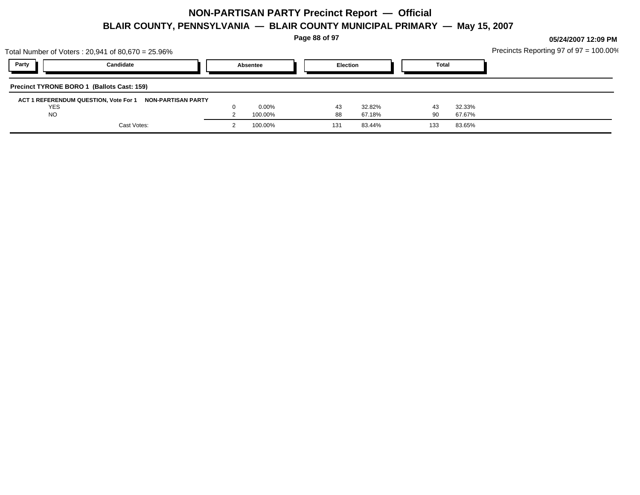**Page 88 of 97**

|            | Total Number of Voters: 20,941 of 80,670 = 25.96%           |          |     |                 |              |        | Precincts Reporting 97 of $97 = 100.00\%$ |
|------------|-------------------------------------------------------------|----------|-----|-----------------|--------------|--------|-------------------------------------------|
| Party      | Candidate                                                   | Absentee |     | <b>Election</b> | <b>Total</b> |        |                                           |
|            | Precinct TYRONE BORO 1 (Ballots Cast: 159)                  |          |     |                 |              |        |                                           |
|            | ACT 1 REFERENDUM QUESTION, Vote For 1<br>NON-PARTISAN PARTY |          |     |                 |              |        |                                           |
| <b>YES</b> |                                                             | $0.00\%$ | 43  | 32.82%          | 43           | 32.33% |                                           |
| <b>NO</b>  |                                                             | 100.00%  | 88  | 67.18%          | 90           | 67.67% |                                           |
|            | Cast Votes:                                                 | 100.00%  | 131 | 83.44%          | 133          | 83.65% |                                           |
|            |                                                             |          |     |                 |              |        |                                           |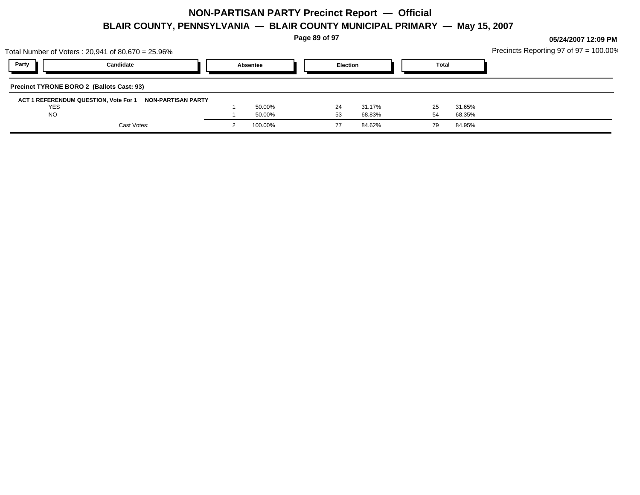**Page 89 of 97**

|            | Total Number of Voters: 20,941 of 80,670 = 25.96%        |          |    |                 |              |        | Precincts Reporting 97 of $97 = 100.00\%$ |
|------------|----------------------------------------------------------|----------|----|-----------------|--------------|--------|-------------------------------------------|
| Party      | Candidate                                                | Absentee |    | <b>Election</b> | <b>Total</b> |        |                                           |
|            | Precinct TYRONE BORO 2 (Ballots Cast: 93)                |          |    |                 |              |        |                                           |
|            | ACT 1 REFERENDUM QUESTION, Vote For 1 NON-PARTISAN PARTY |          |    |                 |              |        |                                           |
| <b>YES</b> |                                                          | 50.00%   | 24 | 31.17%          | 25           | 31.65% |                                           |
| <b>NO</b>  |                                                          | 50.00%   | 53 | 68.83%          |              | 68.35% |                                           |
|            | Cast Votes:                                              | 100.00%  |    | 84.62%          | 79           | 84.95% |                                           |
|            |                                                          |          |    |                 |              |        |                                           |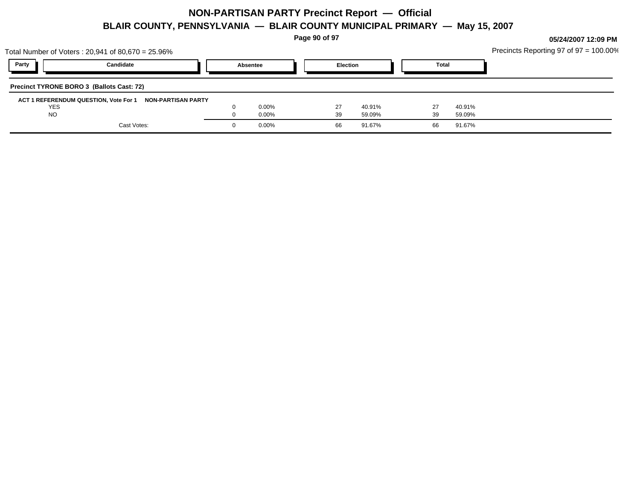**Page 90 of 97**

|           | Total Number of Voters : 20,941 of 80,670 = 25.96%       |          |    |                 |              |        | Precincts Reporting 97 of 97 = 100.00% |
|-----------|----------------------------------------------------------|----------|----|-----------------|--------------|--------|----------------------------------------|
| Party     | Candidate                                                | Absentee |    | <b>Election</b> | <b>Total</b> |        |                                        |
|           | Precinct TYRONE BORO 3 (Ballots Cast: 72)                |          |    |                 |              |        |                                        |
|           | ACT 1 REFERENDUM QUESTION, Vote For 1 NON-PARTISAN PARTY |          |    |                 |              |        |                                        |
| YES       |                                                          | $0.00\%$ | 27 | 40.91%          |              | 40.91% |                                        |
| <b>NO</b> |                                                          | $0.00\%$ | 39 | 59.09%          | 39           | 59.09% |                                        |
|           | Cast Votes:                                              | $0.00\%$ | 66 | 91.67%          | 66           | 91.67% |                                        |
|           |                                                          |          |    |                 |              |        |                                        |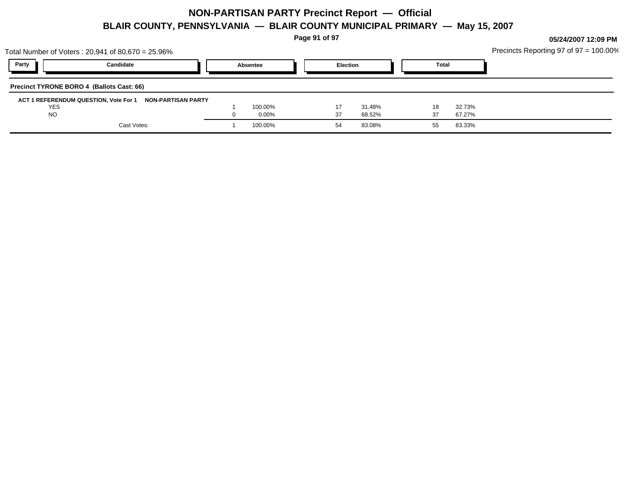**Page 91 of 97**

|            | Total Number of Voters: 20,941 of 80,670 = 25.96%        |          |    |                 |              |        | Precincts Reporting 97 of 97 = 100.00% |
|------------|----------------------------------------------------------|----------|----|-----------------|--------------|--------|----------------------------------------|
| Party      | Candidate                                                | Absentee |    | <b>Election</b> | <b>Total</b> |        |                                        |
|            | Precinct TYRONE BORO 4 (Ballots Cast: 66)                |          |    |                 |              |        |                                        |
|            | ACT 1 REFERENDUM QUESTION, Vote For 1 NON-PARTISAN PARTY |          |    |                 |              |        |                                        |
| <b>YES</b> |                                                          | 100.00%  |    | 31.48%          | 18           | 32.73% |                                        |
| <b>NO</b>  |                                                          | $0.00\%$ | 37 | 68.52%          | 37           | 67.27% |                                        |
|            | Cast Votes:                                              | 100.00%  | 54 | 83.08%          |              | 83.33% |                                        |
|            |                                                          |          |    |                 |              |        |                                        |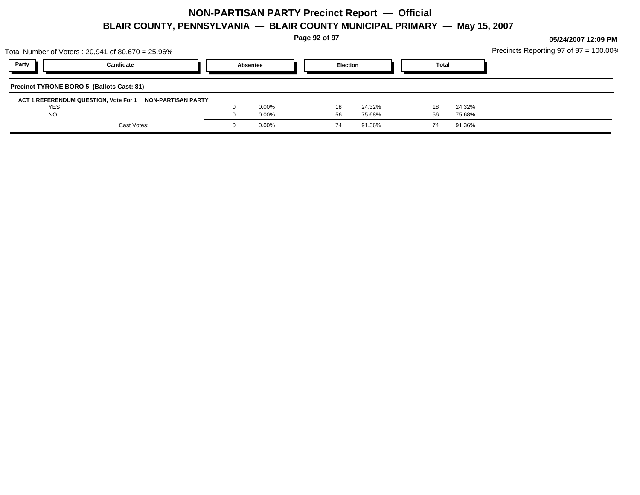**Page 92 of 97**

|            | Total Number of Voters: 20,941 of 80,670 = 25.96%        |          |    |                 |              | Precincts Reporting 97 of $97 = 100.00\%$ |
|------------|----------------------------------------------------------|----------|----|-----------------|--------------|-------------------------------------------|
| Party      | Candidate                                                | Absentee |    | <b>Election</b> | <b>Total</b> |                                           |
|            | Precinct TYRONE BORO 5 (Ballots Cast: 81)                |          |    |                 |              |                                           |
|            | ACT 1 REFERENDUM QUESTION, Vote For 1 NON-PARTISAN PARTY |          |    |                 |              |                                           |
| <b>YES</b> |                                                          | $0.00\%$ |    | 24.32%          | 24.32%<br>18 |                                           |
| <b>NO</b>  |                                                          | $0.00\%$ | 56 | 75.68%          | 75.68%<br>56 |                                           |
|            | Cast Votes:                                              | $0.00\%$ | 74 | 91.36%          | 91.36%<br>74 |                                           |
|            |                                                          |          |    |                 |              |                                           |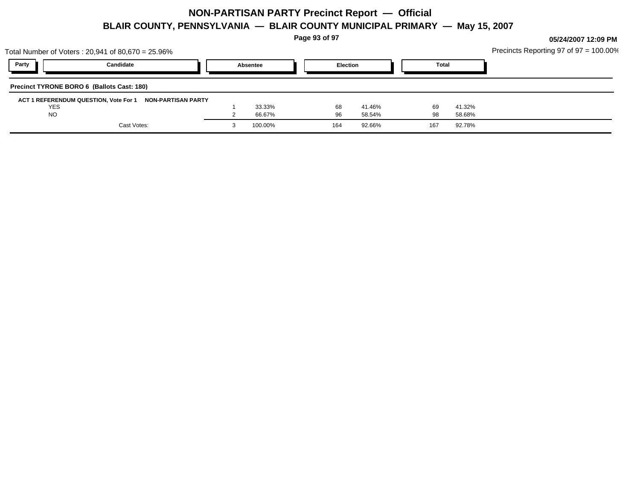**Page 93 of 97**

|            | Total Number of Voters: 20,941 of 80,670 = 25.96%           |          |                 |        |       |        | Precincts Reporting 97 of 97 = 100.00% |
|------------|-------------------------------------------------------------|----------|-----------------|--------|-------|--------|----------------------------------------|
| Party      | Candidate                                                   | Absentee | <b>Election</b> |        | Total |        |                                        |
|            | Precinct TYRONE BORO 6 (Ballots Cast: 180)                  |          |                 |        |       |        |                                        |
|            | ACT 1 REFERENDUM QUESTION, Vote For 1<br>NON-PARTISAN PARTY |          |                 |        |       |        |                                        |
| <b>YES</b> |                                                             | 33.33%   | 68              | 41.46% | 69    | 41.32% |                                        |
| <b>NO</b>  |                                                             | 66.67%   | 96              | 58.54% | 98    | 58.68% |                                        |
|            | Cast Votes:                                                 | 100.00%  | 164             | 92.66% | 167   | 92.78% |                                        |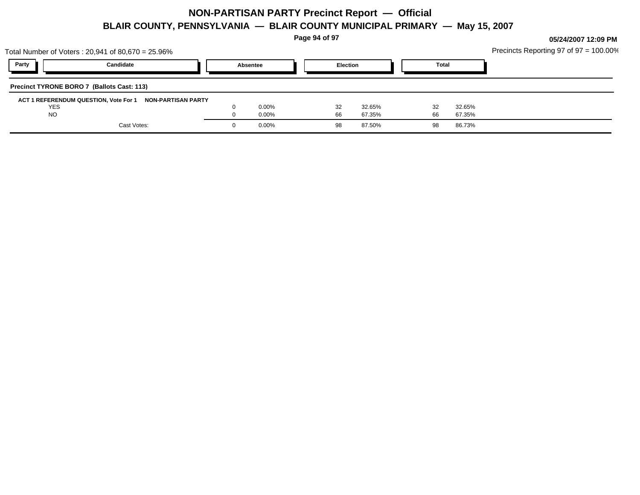**Page 94 of 97**

|            | Total Number of Voters: 20,941 of 80,670 = 25.96%        |          |    |                 |              |        | Precincts Reporting 97 of $97 = 100.00\%$ |
|------------|----------------------------------------------------------|----------|----|-----------------|--------------|--------|-------------------------------------------|
| Party      | Candidate                                                | Absentee |    | <b>Election</b> | <b>Total</b> |        |                                           |
|            | Precinct TYRONE BORO 7 (Ballots Cast: 113)               |          |    |                 |              |        |                                           |
|            | ACT 1 REFERENDUM QUESTION, Vote For 1 NON-PARTISAN PARTY |          |    |                 |              |        |                                           |
| <b>YES</b> |                                                          | $0.00\%$ | 32 | 32.65%          |              | 32.65% |                                           |
| <b>NO</b>  |                                                          | $0.00\%$ | 66 | 67.35%          | 66           | 67.35% |                                           |
|            | Cast Votes:                                              | $0.00\%$ | 98 | 87.50%          | 98           | 86.73% |                                           |
|            |                                                          |          |    |                 |              |        |                                           |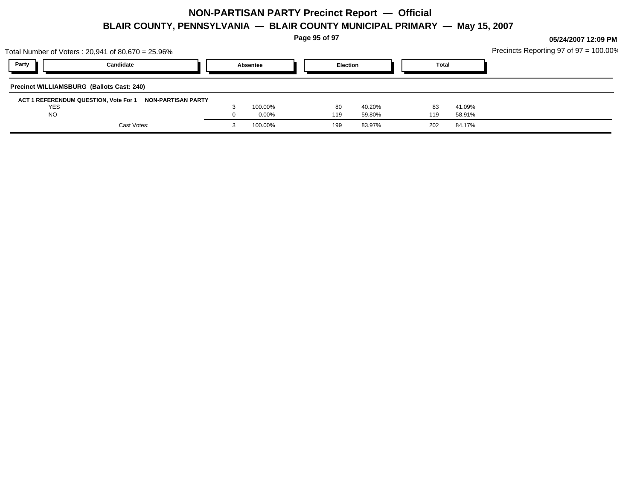**Page 95 of 97**

| Total Number of Voters : 20,941 of 80,670 = 25.96%       |          |     |                 |              |        | Precincts Reporting 97 of 97 = 100.00% |  |
|----------------------------------------------------------|----------|-----|-----------------|--------------|--------|----------------------------------------|--|
| Party<br>Candidate                                       | Absentee |     | <b>Election</b> | <b>Total</b> |        |                                        |  |
| <b>Precinct WILLIAMSBURG (Ballots Cast: 240)</b>         |          |     |                 |              |        |                                        |  |
| ACT 1 REFERENDUM QUESTION, Vote For 1 NON-PARTISAN PARTY |          |     |                 |              |        |                                        |  |
| YES                                                      | 100.00%  | -80 | 40.20%          | 83           | 41.09% |                                        |  |
| <b>NO</b>                                                | $0.00\%$ | 119 | 59.80%          | 119          | 58.91% |                                        |  |
| Cast Votes:                                              | 100.00%  | 199 | 83.97%          | 202          | 84.17% |                                        |  |
|                                                          |          |     |                 |              |        |                                        |  |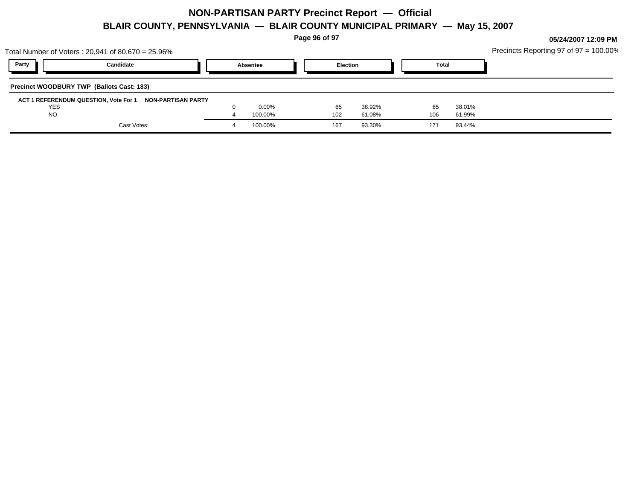**Page 96 of 97**

| Total Number of Voters : 20,941 of 80,670 = 25.96% | Precincts Reporting 97 of $97 = 100.00\%$                |          |     |                 |  |              |        |  |  |
|----------------------------------------------------|----------------------------------------------------------|----------|-----|-----------------|--|--------------|--------|--|--|
| Party                                              | Candidate                                                | Absentee |     | <b>Election</b> |  | <b>Total</b> |        |  |  |
|                                                    | <b>Precinct WOODBURY TWP (Ballots Cast: 183)</b>         |          |     |                 |  |              |        |  |  |
|                                                    | ACT 1 REFERENDUM QUESTION, Vote For 1 NON-PARTISAN PARTY |          |     |                 |  |              |        |  |  |
| <b>YES</b>                                         |                                                          | $0.00\%$ | 65  | 38.92%          |  | 65           | 38.01% |  |  |
| <b>NO</b>                                          |                                                          | 100.00%  | 102 | 61.08%          |  | 106          | 61.99% |  |  |
|                                                    | Cast Votes:                                              | 100.00%  | 167 | 93.30%          |  | 171          | 93.44% |  |  |
|                                                    |                                                          |          |     |                 |  |              |        |  |  |